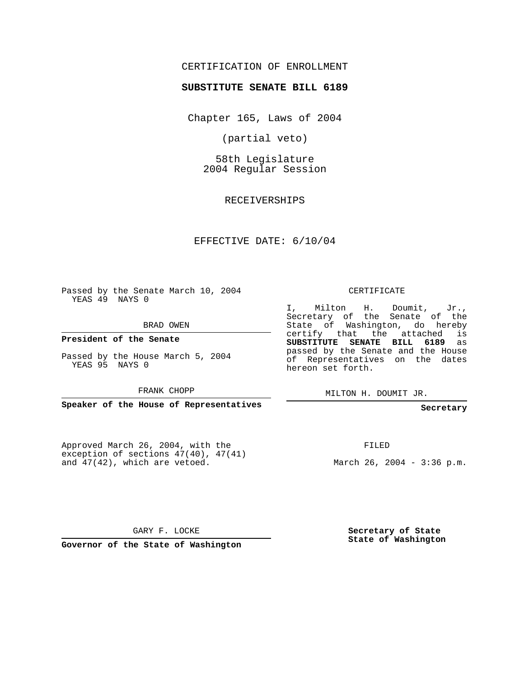### CERTIFICATION OF ENROLLMENT

#### **SUBSTITUTE SENATE BILL 6189**

Chapter 165, Laws of 2004

(partial veto)

58th Legislature 2004 Regular Session

RECEIVERSHIPS

### EFFECTIVE DATE: 6/10/04

Passed by the Senate March 10, 2004 YEAS 49 NAYS 0

BRAD OWEN

**President of the Senate**

Passed by the House March 5, 2004 YEAS 95 NAYS 0

FRANK CHOPP

**Speaker of the House of Representatives**

Approved March 26, 2004, with the exception of sections 47(40), 47(41) and 47(42), which are vetoed.

#### CERTIFICATE

I, Milton H. Doumit, Jr., Secretary of the Senate of the State of Washington, do hereby certify that the attached is **SUBSTITUTE SENATE BILL 6189** as passed by the Senate and the House of Representatives on the dates hereon set forth.

MILTON H. DOUMIT JR.

**Secretary**

FILED

March 26, 2004 - 3:36 p.m.

GARY F. LOCKE

**Governor of the State of Washington**

**Secretary of State State of Washington**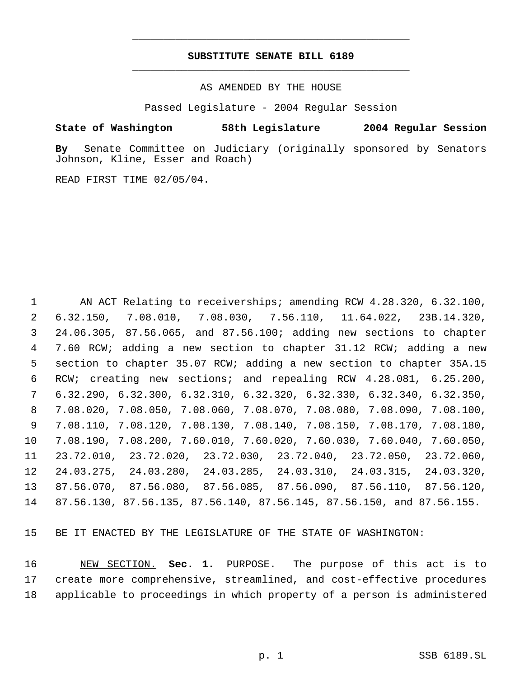## **SUBSTITUTE SENATE BILL 6189** \_\_\_\_\_\_\_\_\_\_\_\_\_\_\_\_\_\_\_\_\_\_\_\_\_\_\_\_\_\_\_\_\_\_\_\_\_\_\_\_\_\_\_\_\_

\_\_\_\_\_\_\_\_\_\_\_\_\_\_\_\_\_\_\_\_\_\_\_\_\_\_\_\_\_\_\_\_\_\_\_\_\_\_\_\_\_\_\_\_\_

AS AMENDED BY THE HOUSE

Passed Legislature - 2004 Regular Session

### **State of Washington 58th Legislature 2004 Regular Session**

**By** Senate Committee on Judiciary (originally sponsored by Senators Johnson, Kline, Esser and Roach)

READ FIRST TIME 02/05/04.

 AN ACT Relating to receiverships; amending RCW 4.28.320, 6.32.100, 6.32.150, 7.08.010, 7.08.030, 7.56.110, 11.64.022, 23B.14.320, 24.06.305, 87.56.065, and 87.56.100; adding new sections to chapter 7.60 RCW; adding a new section to chapter 31.12 RCW; adding a new section to chapter 35.07 RCW; adding a new section to chapter 35A.15 RCW; creating new sections; and repealing RCW 4.28.081, 6.25.200, 6.32.290, 6.32.300, 6.32.310, 6.32.320, 6.32.330, 6.32.340, 6.32.350, 7.08.020, 7.08.050, 7.08.060, 7.08.070, 7.08.080, 7.08.090, 7.08.100, 7.08.110, 7.08.120, 7.08.130, 7.08.140, 7.08.150, 7.08.170, 7.08.180, 7.08.190, 7.08.200, 7.60.010, 7.60.020, 7.60.030, 7.60.040, 7.60.050, 23.72.010, 23.72.020, 23.72.030, 23.72.040, 23.72.050, 23.72.060, 24.03.275, 24.03.280, 24.03.285, 24.03.310, 24.03.315, 24.03.320, 87.56.070, 87.56.080, 87.56.085, 87.56.090, 87.56.110, 87.56.120, 87.56.130, 87.56.135, 87.56.140, 87.56.145, 87.56.150, and 87.56.155.

BE IT ENACTED BY THE LEGISLATURE OF THE STATE OF WASHINGTON:

 NEW SECTION. **Sec. 1.** PURPOSE. The purpose of this act is to create more comprehensive, streamlined, and cost-effective procedures applicable to proceedings in which property of a person is administered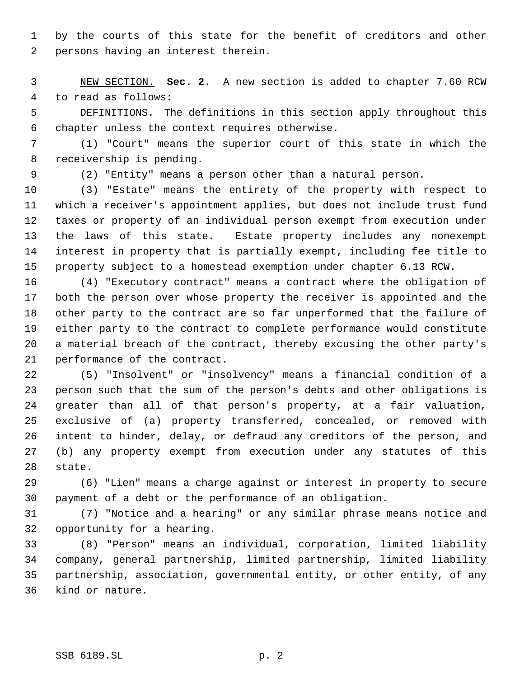by the courts of this state for the benefit of creditors and other persons having an interest therein.

 NEW SECTION. **Sec. 2.** A new section is added to chapter 7.60 RCW to read as follows:

 DEFINITIONS. The definitions in this section apply throughout this chapter unless the context requires otherwise.

 (1) "Court" means the superior court of this state in which the receivership is pending.

(2) "Entity" means a person other than a natural person.

 (3) "Estate" means the entirety of the property with respect to which a receiver's appointment applies, but does not include trust fund taxes or property of an individual person exempt from execution under the laws of this state. Estate property includes any nonexempt interest in property that is partially exempt, including fee title to property subject to a homestead exemption under chapter 6.13 RCW.

 (4) "Executory contract" means a contract where the obligation of both the person over whose property the receiver is appointed and the other party to the contract are so far unperformed that the failure of either party to the contract to complete performance would constitute a material breach of the contract, thereby excusing the other party's performance of the contract.

 (5) "Insolvent" or "insolvency" means a financial condition of a person such that the sum of the person's debts and other obligations is greater than all of that person's property, at a fair valuation, exclusive of (a) property transferred, concealed, or removed with intent to hinder, delay, or defraud any creditors of the person, and (b) any property exempt from execution under any statutes of this state.

 (6) "Lien" means a charge against or interest in property to secure payment of a debt or the performance of an obligation.

 (7) "Notice and a hearing" or any similar phrase means notice and opportunity for a hearing.

 (8) "Person" means an individual, corporation, limited liability company, general partnership, limited partnership, limited liability partnership, association, governmental entity, or other entity, of any kind or nature.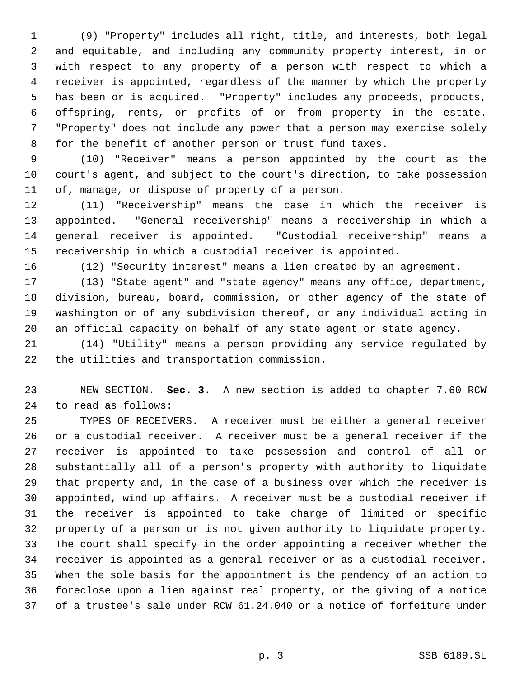(9) "Property" includes all right, title, and interests, both legal and equitable, and including any community property interest, in or with respect to any property of a person with respect to which a receiver is appointed, regardless of the manner by which the property has been or is acquired. "Property" includes any proceeds, products, offspring, rents, or profits of or from property in the estate. "Property" does not include any power that a person may exercise solely for the benefit of another person or trust fund taxes.

 (10) "Receiver" means a person appointed by the court as the court's agent, and subject to the court's direction, to take possession of, manage, or dispose of property of a person.

 (11) "Receivership" means the case in which the receiver is appointed. "General receivership" means a receivership in which a general receiver is appointed. "Custodial receivership" means a receivership in which a custodial receiver is appointed.

(12) "Security interest" means a lien created by an agreement.

 (13) "State agent" and "state agency" means any office, department, division, bureau, board, commission, or other agency of the state of Washington or of any subdivision thereof, or any individual acting in an official capacity on behalf of any state agent or state agency.

 (14) "Utility" means a person providing any service regulated by the utilities and transportation commission.

 NEW SECTION. **Sec. 3.** A new section is added to chapter 7.60 RCW to read as follows:

 TYPES OF RECEIVERS. A receiver must be either a general receiver or a custodial receiver. A receiver must be a general receiver if the receiver is appointed to take possession and control of all or substantially all of a person's property with authority to liquidate that property and, in the case of a business over which the receiver is appointed, wind up affairs. A receiver must be a custodial receiver if the receiver is appointed to take charge of limited or specific property of a person or is not given authority to liquidate property. The court shall specify in the order appointing a receiver whether the receiver is appointed as a general receiver or as a custodial receiver. When the sole basis for the appointment is the pendency of an action to foreclose upon a lien against real property, or the giving of a notice of a trustee's sale under RCW 61.24.040 or a notice of forfeiture under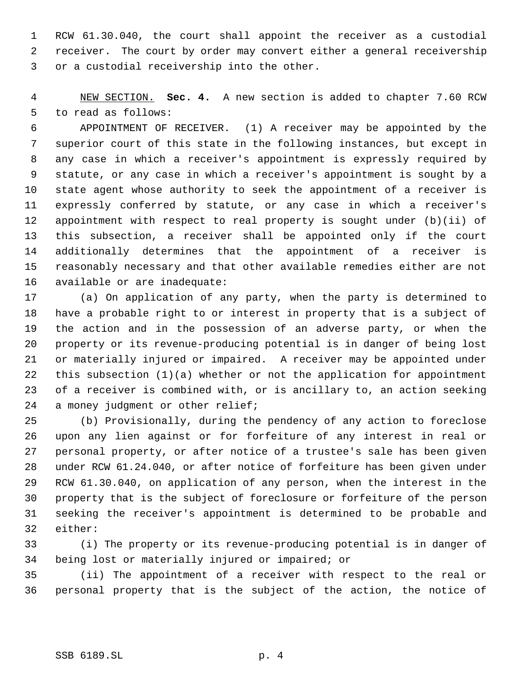RCW 61.30.040, the court shall appoint the receiver as a custodial receiver. The court by order may convert either a general receivership or a custodial receivership into the other.

 NEW SECTION. **Sec. 4.** A new section is added to chapter 7.60 RCW to read as follows:

 APPOINTMENT OF RECEIVER. (1) A receiver may be appointed by the superior court of this state in the following instances, but except in any case in which a receiver's appointment is expressly required by statute, or any case in which a receiver's appointment is sought by a state agent whose authority to seek the appointment of a receiver is expressly conferred by statute, or any case in which a receiver's appointment with respect to real property is sought under (b)(ii) of this subsection, a receiver shall be appointed only if the court additionally determines that the appointment of a receiver is reasonably necessary and that other available remedies either are not available or are inadequate:

 (a) On application of any party, when the party is determined to have a probable right to or interest in property that is a subject of the action and in the possession of an adverse party, or when the property or its revenue-producing potential is in danger of being lost or materially injured or impaired. A receiver may be appointed under this subsection (1)(a) whether or not the application for appointment of a receiver is combined with, or is ancillary to, an action seeking 24 a money judgment or other relief;

 (b) Provisionally, during the pendency of any action to foreclose upon any lien against or for forfeiture of any interest in real or personal property, or after notice of a trustee's sale has been given under RCW 61.24.040, or after notice of forfeiture has been given under RCW 61.30.040, on application of any person, when the interest in the property that is the subject of foreclosure or forfeiture of the person seeking the receiver's appointment is determined to be probable and either:

 (i) The property or its revenue-producing potential is in danger of being lost or materially injured or impaired; or

 (ii) The appointment of a receiver with respect to the real or personal property that is the subject of the action, the notice of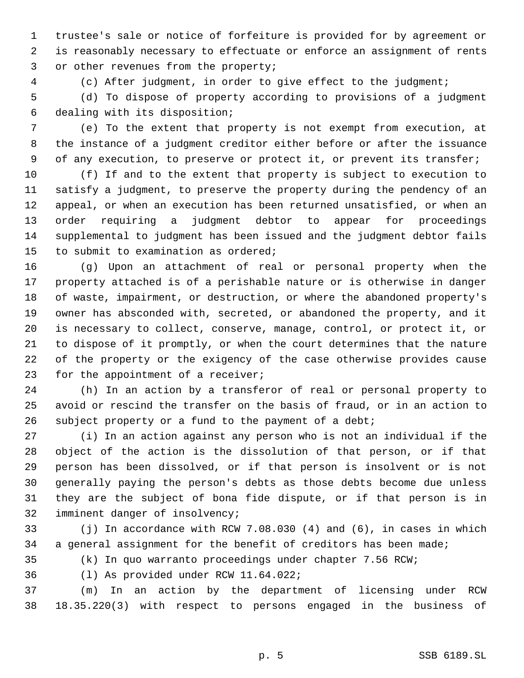trustee's sale or notice of forfeiture is provided for by agreement or is reasonably necessary to effectuate or enforce an assignment of rents or other revenues from the property;

(c) After judgment, in order to give effect to the judgment;

 (d) To dispose of property according to provisions of a judgment dealing with its disposition;

 (e) To the extent that property is not exempt from execution, at the instance of a judgment creditor either before or after the issuance of any execution, to preserve or protect it, or prevent its transfer;

 (f) If and to the extent that property is subject to execution to satisfy a judgment, to preserve the property during the pendency of an appeal, or when an execution has been returned unsatisfied, or when an order requiring a judgment debtor to appear for proceedings supplemental to judgment has been issued and the judgment debtor fails to submit to examination as ordered;

 (g) Upon an attachment of real or personal property when the property attached is of a perishable nature or is otherwise in danger of waste, impairment, or destruction, or where the abandoned property's owner has absconded with, secreted, or abandoned the property, and it is necessary to collect, conserve, manage, control, or protect it, or to dispose of it promptly, or when the court determines that the nature of the property or the exigency of the case otherwise provides cause 23 for the appointment of a receiver;

 (h) In an action by a transferor of real or personal property to avoid or rescind the transfer on the basis of fraud, or in an action to 26 subject property or a fund to the payment of a debt;

 (i) In an action against any person who is not an individual if the object of the action is the dissolution of that person, or if that person has been dissolved, or if that person is insolvent or is not generally paying the person's debts as those debts become due unless they are the subject of bona fide dispute, or if that person is in imminent danger of insolvency;

 (j) In accordance with RCW 7.08.030 (4) and (6), in cases in which a general assignment for the benefit of creditors has been made;

(k) In quo warranto proceedings under chapter 7.56 RCW;

(l) As provided under RCW 11.64.022;

 (m) In an action by the department of licensing under RCW 18.35.220(3) with respect to persons engaged in the business of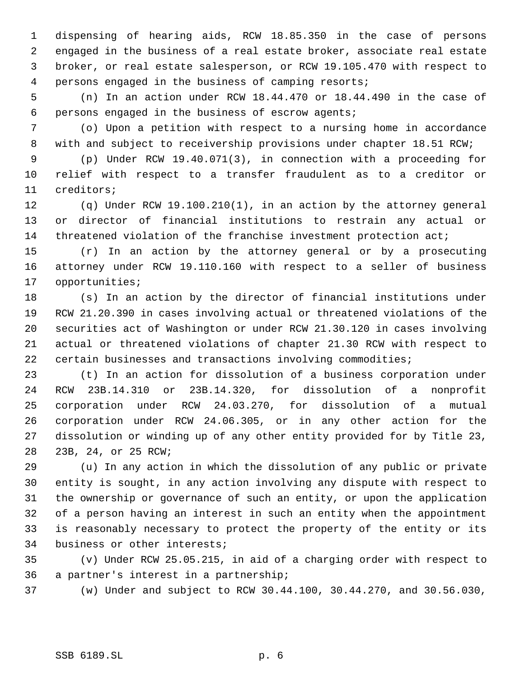dispensing of hearing aids, RCW 18.85.350 in the case of persons engaged in the business of a real estate broker, associate real estate broker, or real estate salesperson, or RCW 19.105.470 with respect to persons engaged in the business of camping resorts;

 (n) In an action under RCW 18.44.470 or 18.44.490 in the case of persons engaged in the business of escrow agents;

 (o) Upon a petition with respect to a nursing home in accordance with and subject to receivership provisions under chapter 18.51 RCW;

 (p) Under RCW 19.40.071(3), in connection with a proceeding for relief with respect to a transfer fraudulent as to a creditor or creditors;

 (q) Under RCW 19.100.210(1), in an action by the attorney general or director of financial institutions to restrain any actual or 14 threatened violation of the franchise investment protection act;

 (r) In an action by the attorney general or by a prosecuting attorney under RCW 19.110.160 with respect to a seller of business opportunities;

 (s) In an action by the director of financial institutions under RCW 21.20.390 in cases involving actual or threatened violations of the securities act of Washington or under RCW 21.30.120 in cases involving actual or threatened violations of chapter 21.30 RCW with respect to certain businesses and transactions involving commodities;

 (t) In an action for dissolution of a business corporation under RCW 23B.14.310 or 23B.14.320, for dissolution of a nonprofit corporation under RCW 24.03.270, for dissolution of a mutual corporation under RCW 24.06.305, or in any other action for the dissolution or winding up of any other entity provided for by Title 23, 23B, 24, or 25 RCW;

 (u) In any action in which the dissolution of any public or private entity is sought, in any action involving any dispute with respect to the ownership or governance of such an entity, or upon the application of a person having an interest in such an entity when the appointment is reasonably necessary to protect the property of the entity or its business or other interests;

 (v) Under RCW 25.05.215, in aid of a charging order with respect to a partner's interest in a partnership;

(w) Under and subject to RCW 30.44.100, 30.44.270, and 30.56.030,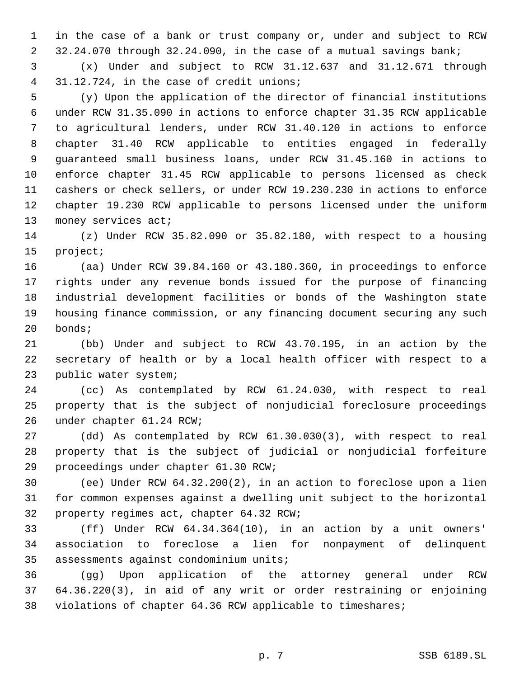in the case of a bank or trust company or, under and subject to RCW 32.24.070 through 32.24.090, in the case of a mutual savings bank;

 (x) Under and subject to RCW 31.12.637 and 31.12.671 through 31.12.724, in the case of credit unions;

 (y) Upon the application of the director of financial institutions under RCW 31.35.090 in actions to enforce chapter 31.35 RCW applicable to agricultural lenders, under RCW 31.40.120 in actions to enforce chapter 31.40 RCW applicable to entities engaged in federally guaranteed small business loans, under RCW 31.45.160 in actions to enforce chapter 31.45 RCW applicable to persons licensed as check cashers or check sellers, or under RCW 19.230.230 in actions to enforce chapter 19.230 RCW applicable to persons licensed under the uniform 13 money services act;

 (z) Under RCW 35.82.090 or 35.82.180, with respect to a housing project;

 (aa) Under RCW 39.84.160 or 43.180.360, in proceedings to enforce rights under any revenue bonds issued for the purpose of financing industrial development facilities or bonds of the Washington state housing finance commission, or any financing document securing any such bonds;

 (bb) Under and subject to RCW 43.70.195, in an action by the secretary of health or by a local health officer with respect to a public water system;

 (cc) As contemplated by RCW 61.24.030, with respect to real property that is the subject of nonjudicial foreclosure proceedings under chapter 61.24 RCW;

 (dd) As contemplated by RCW 61.30.030(3), with respect to real property that is the subject of judicial or nonjudicial forfeiture proceedings under chapter 61.30 RCW;

 (ee) Under RCW 64.32.200(2), in an action to foreclose upon a lien for common expenses against a dwelling unit subject to the horizontal property regimes act, chapter 64.32 RCW;

 (ff) Under RCW 64.34.364(10), in an action by a unit owners' association to foreclose a lien for nonpayment of delinquent assessments against condominium units;

 (gg) Upon application of the attorney general under RCW 64.36.220(3), in aid of any writ or order restraining or enjoining violations of chapter 64.36 RCW applicable to timeshares;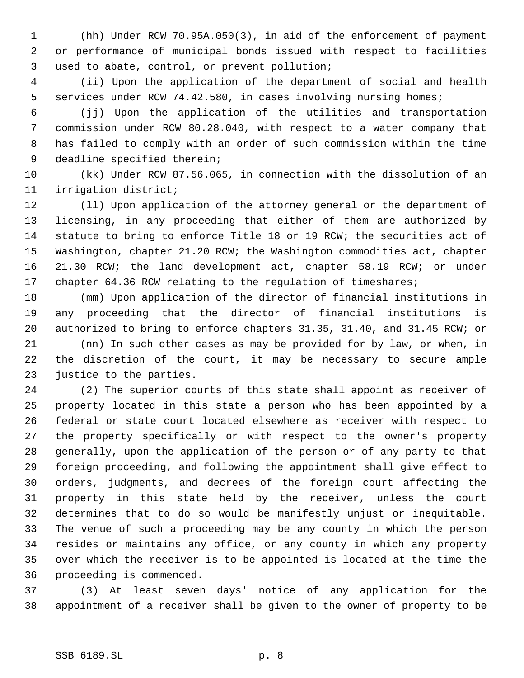(hh) Under RCW 70.95A.050(3), in aid of the enforcement of payment or performance of municipal bonds issued with respect to facilities used to abate, control, or prevent pollution;

 (ii) Upon the application of the department of social and health services under RCW 74.42.580, in cases involving nursing homes;

 (jj) Upon the application of the utilities and transportation commission under RCW 80.28.040, with respect to a water company that has failed to comply with an order of such commission within the time deadline specified therein;

 (kk) Under RCW 87.56.065, in connection with the dissolution of an irrigation district;

 (ll) Upon application of the attorney general or the department of licensing, in any proceeding that either of them are authorized by statute to bring to enforce Title 18 or 19 RCW; the securities act of Washington, chapter 21.20 RCW; the Washington commodities act, chapter 21.30 RCW; the land development act, chapter 58.19 RCW; or under chapter 64.36 RCW relating to the regulation of timeshares;

 (mm) Upon application of the director of financial institutions in any proceeding that the director of financial institutions is authorized to bring to enforce chapters 31.35, 31.40, and 31.45 RCW; or (nn) In such other cases as may be provided for by law, or when, in the discretion of the court, it may be necessary to secure ample justice to the parties.

 (2) The superior courts of this state shall appoint as receiver of property located in this state a person who has been appointed by a federal or state court located elsewhere as receiver with respect to the property specifically or with respect to the owner's property generally, upon the application of the person or of any party to that foreign proceeding, and following the appointment shall give effect to orders, judgments, and decrees of the foreign court affecting the property in this state held by the receiver, unless the court determines that to do so would be manifestly unjust or inequitable. The venue of such a proceeding may be any county in which the person resides or maintains any office, or any county in which any property over which the receiver is to be appointed is located at the time the proceeding is commenced.

 (3) At least seven days' notice of any application for the appointment of a receiver shall be given to the owner of property to be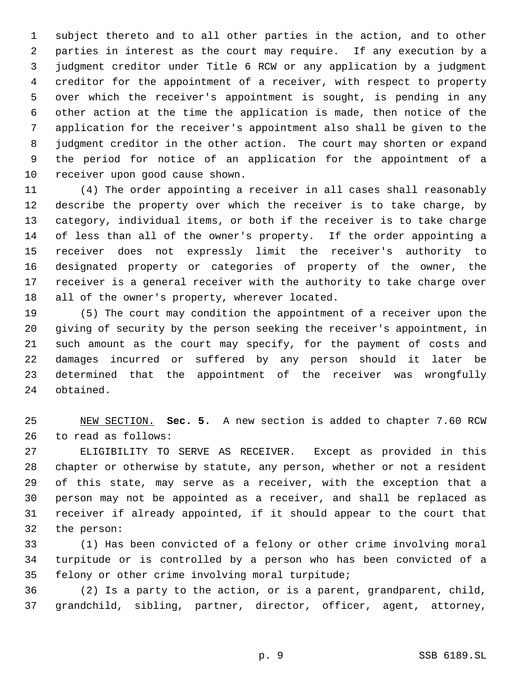subject thereto and to all other parties in the action, and to other parties in interest as the court may require. If any execution by a judgment creditor under Title 6 RCW or any application by a judgment creditor for the appointment of a receiver, with respect to property over which the receiver's appointment is sought, is pending in any other action at the time the application is made, then notice of the application for the receiver's appointment also shall be given to the judgment creditor in the other action. The court may shorten or expand the period for notice of an application for the appointment of a receiver upon good cause shown.

 (4) The order appointing a receiver in all cases shall reasonably describe the property over which the receiver is to take charge, by category, individual items, or both if the receiver is to take charge of less than all of the owner's property. If the order appointing a receiver does not expressly limit the receiver's authority to designated property or categories of property of the owner, the receiver is a general receiver with the authority to take charge over all of the owner's property, wherever located.

 (5) The court may condition the appointment of a receiver upon the giving of security by the person seeking the receiver's appointment, in such amount as the court may specify, for the payment of costs and damages incurred or suffered by any person should it later be determined that the appointment of the receiver was wrongfully obtained.

 NEW SECTION. **Sec. 5.** A new section is added to chapter 7.60 RCW to read as follows:

 ELIGIBILITY TO SERVE AS RECEIVER. Except as provided in this chapter or otherwise by statute, any person, whether or not a resident of this state, may serve as a receiver, with the exception that a person may not be appointed as a receiver, and shall be replaced as receiver if already appointed, if it should appear to the court that the person:

 (1) Has been convicted of a felony or other crime involving moral turpitude or is controlled by a person who has been convicted of a felony or other crime involving moral turpitude;

 (2) Is a party to the action, or is a parent, grandparent, child, grandchild, sibling, partner, director, officer, agent, attorney,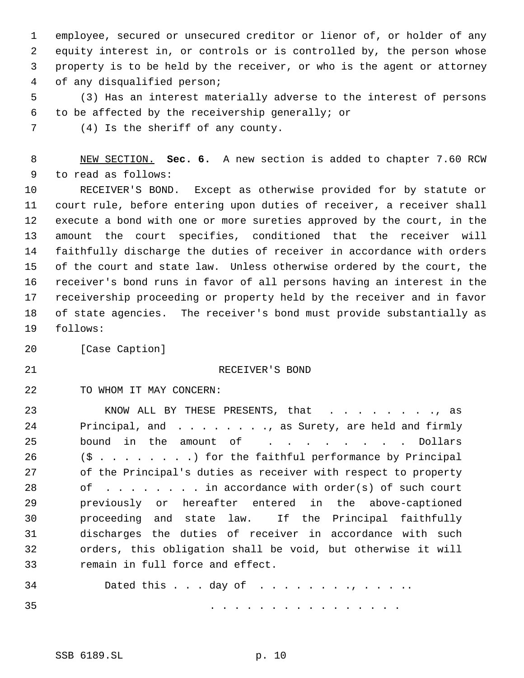employee, secured or unsecured creditor or lienor of, or holder of any equity interest in, or controls or is controlled by, the person whose property is to be held by the receiver, or who is the agent or attorney of any disqualified person;

 (3) Has an interest materially adverse to the interest of persons to be affected by the receivership generally; or

(4) Is the sheriff of any county.

 NEW SECTION. **Sec. 6.** A new section is added to chapter 7.60 RCW to read as follows:

 RECEIVER'S BOND. Except as otherwise provided for by statute or court rule, before entering upon duties of receiver, a receiver shall execute a bond with one or more sureties approved by the court, in the amount the court specifies, conditioned that the receiver will faithfully discharge the duties of receiver in accordance with orders of the court and state law. Unless otherwise ordered by the court, the receiver's bond runs in favor of all persons having an interest in the receivership proceeding or property held by the receiver and in favor of state agencies. The receiver's bond must provide substantially as follows:

[Case Caption]

# 21 RECEIVER'S BOND

TO WHOM IT MAY CONCERN:

23 KNOW ALL BY THESE PRESENTS, that . . . . . . . . , as 24 Principal, and . . . . . . . . , as Surety, are held and firmly 25 bound in the amount of . . . . . . . Dollars (\$ . . . . . . . .) for the faithful performance by Principal of the Principal's duties as receiver with respect to property of . . . . . . . . in accordance with order(s) of such court previously or hereafter entered in the above-captioned proceeding and state law. If the Principal faithfully discharges the duties of receiver in accordance with such orders, this obligation shall be void, but otherwise it will remain in full force and effect.

Dated this . . . day of . . . . . . . ., . . . ..

35 . . . . . . . . . . . . . . . .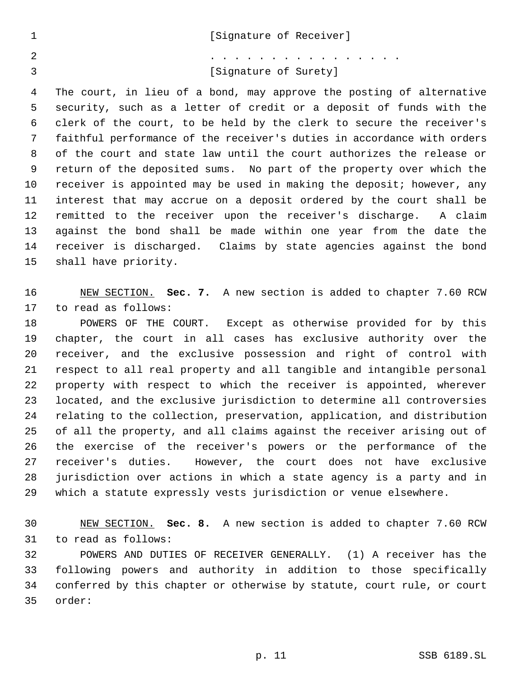|                | [Signature of Receiver]                                                 |
|----------------|-------------------------------------------------------------------------|
| $\mathfrak{D}$ | .                                                                       |
|                | [Signature of Surety]                                                   |
| 4              | The court, in lieu of a bond, may approve the posting of alternative    |
| 5              | security, such as a letter of credit or a deposit of funds with the     |
| 6              | clerk of the court, to be held by the clerk to secure the receiver's    |
| 7              | faithful performance of the receiver's duties in accordance with orders |
| 8              | of the court and state law until the court authorizes the release or    |
| 9              | return of the deposited sums. No part of the property over which the    |

 receiver is appointed may be used in making the deposit; however, any interest that may accrue on a deposit ordered by the court shall be remitted to the receiver upon the receiver's discharge. A claim against the bond shall be made within one year from the date the receiver is discharged. Claims by state agencies against the bond

 NEW SECTION. **Sec. 7.** A new section is added to chapter 7.60 RCW to read as follows:

shall have priority.

 POWERS OF THE COURT. Except as otherwise provided for by this chapter, the court in all cases has exclusive authority over the receiver, and the exclusive possession and right of control with respect to all real property and all tangible and intangible personal property with respect to which the receiver is appointed, wherever located, and the exclusive jurisdiction to determine all controversies relating to the collection, preservation, application, and distribution of all the property, and all claims against the receiver arising out of the exercise of the receiver's powers or the performance of the receiver's duties. However, the court does not have exclusive jurisdiction over actions in which a state agency is a party and in which a statute expressly vests jurisdiction or venue elsewhere.

 NEW SECTION. **Sec. 8.** A new section is added to chapter 7.60 RCW to read as follows:

 POWERS AND DUTIES OF RECEIVER GENERALLY. (1) A receiver has the following powers and authority in addition to those specifically conferred by this chapter or otherwise by statute, court rule, or court order: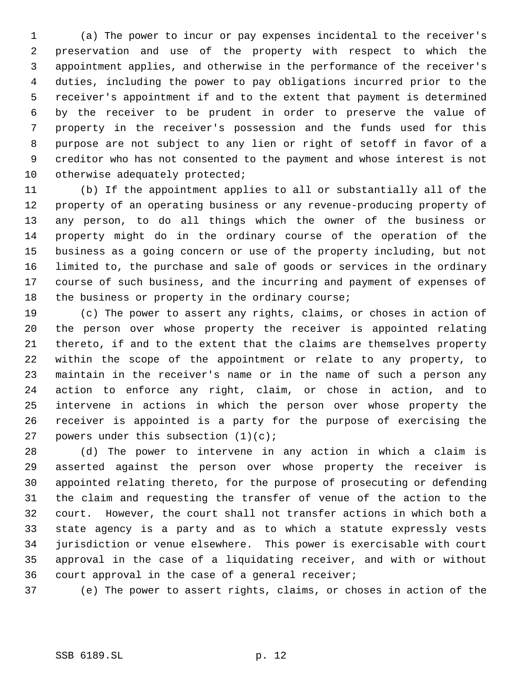(a) The power to incur or pay expenses incidental to the receiver's preservation and use of the property with respect to which the appointment applies, and otherwise in the performance of the receiver's duties, including the power to pay obligations incurred prior to the receiver's appointment if and to the extent that payment is determined by the receiver to be prudent in order to preserve the value of property in the receiver's possession and the funds used for this purpose are not subject to any lien or right of setoff in favor of a creditor who has not consented to the payment and whose interest is not 10 otherwise adequately protected;

 (b) If the appointment applies to all or substantially all of the property of an operating business or any revenue-producing property of any person, to do all things which the owner of the business or property might do in the ordinary course of the operation of the business as a going concern or use of the property including, but not limited to, the purchase and sale of goods or services in the ordinary course of such business, and the incurring and payment of expenses of the business or property in the ordinary course;

 (c) The power to assert any rights, claims, or choses in action of the person over whose property the receiver is appointed relating thereto, if and to the extent that the claims are themselves property within the scope of the appointment or relate to any property, to maintain in the receiver's name or in the name of such a person any action to enforce any right, claim, or chose in action, and to intervene in actions in which the person over whose property the receiver is appointed is a party for the purpose of exercising the 27 powers under this subsection  $(1)(c)$ ;

 (d) The power to intervene in any action in which a claim is asserted against the person over whose property the receiver is appointed relating thereto, for the purpose of prosecuting or defending the claim and requesting the transfer of venue of the action to the court. However, the court shall not transfer actions in which both a state agency is a party and as to which a statute expressly vests jurisdiction or venue elsewhere. This power is exercisable with court approval in the case of a liquidating receiver, and with or without court approval in the case of a general receiver;

(e) The power to assert rights, claims, or choses in action of the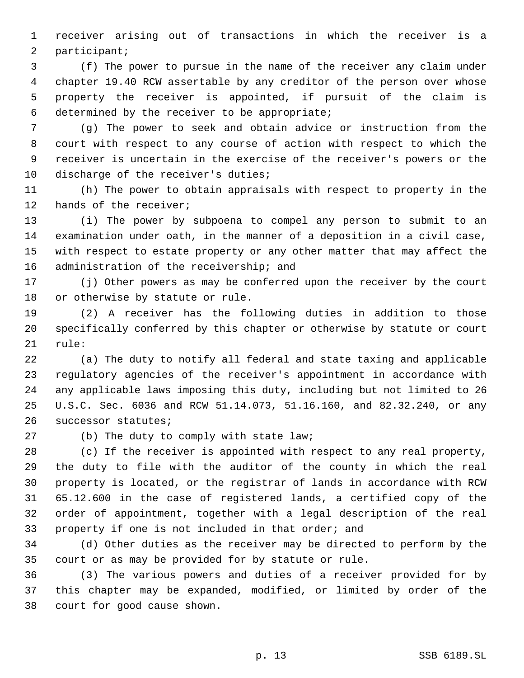receiver arising out of transactions in which the receiver is a participant;

 (f) The power to pursue in the name of the receiver any claim under chapter 19.40 RCW assertable by any creditor of the person over whose property the receiver is appointed, if pursuit of the claim is determined by the receiver to be appropriate;

 (g) The power to seek and obtain advice or instruction from the court with respect to any course of action with respect to which the receiver is uncertain in the exercise of the receiver's powers or the 10 discharge of the receiver's duties;

 (h) The power to obtain appraisals with respect to property in the hands of the receiver;

 (i) The power by subpoena to compel any person to submit to an examination under oath, in the manner of a deposition in a civil case, with respect to estate property or any other matter that may affect the 16 administration of the receivership; and

 (j) Other powers as may be conferred upon the receiver by the court or otherwise by statute or rule.

 (2) A receiver has the following duties in addition to those specifically conferred by this chapter or otherwise by statute or court rule:

 (a) The duty to notify all federal and state taxing and applicable regulatory agencies of the receiver's appointment in accordance with any applicable laws imposing this duty, including but not limited to 26 U.S.C. Sec. 6036 and RCW 51.14.073, 51.16.160, and 82.32.240, or any successor statutes;

(b) The duty to comply with state law;

 (c) If the receiver is appointed with respect to any real property, the duty to file with the auditor of the county in which the real property is located, or the registrar of lands in accordance with RCW 65.12.600 in the case of registered lands, a certified copy of the order of appointment, together with a legal description of the real property if one is not included in that order; and

 (d) Other duties as the receiver may be directed to perform by the court or as may be provided for by statute or rule.

 (3) The various powers and duties of a receiver provided for by this chapter may be expanded, modified, or limited by order of the court for good cause shown.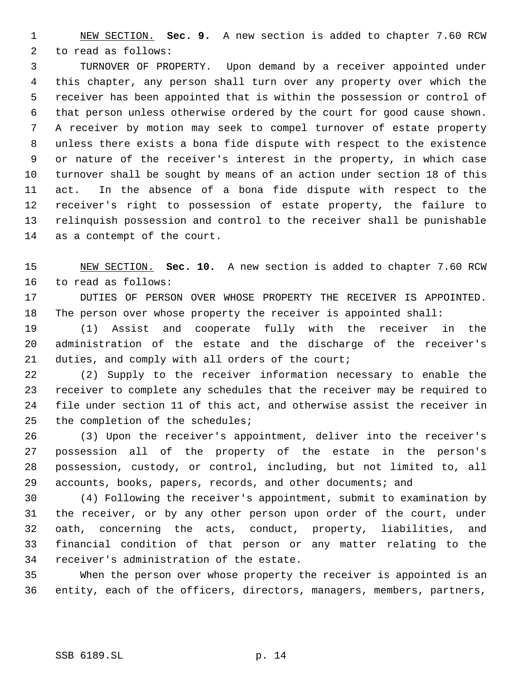NEW SECTION. **Sec. 9.** A new section is added to chapter 7.60 RCW to read as follows:

 TURNOVER OF PROPERTY. Upon demand by a receiver appointed under this chapter, any person shall turn over any property over which the receiver has been appointed that is within the possession or control of that person unless otherwise ordered by the court for good cause shown. A receiver by motion may seek to compel turnover of estate property unless there exists a bona fide dispute with respect to the existence or nature of the receiver's interest in the property, in which case turnover shall be sought by means of an action under section 18 of this act. In the absence of a bona fide dispute with respect to the receiver's right to possession of estate property, the failure to relinquish possession and control to the receiver shall be punishable as a contempt of the court.

 NEW SECTION. **Sec. 10.** A new section is added to chapter 7.60 RCW to read as follows:

 DUTIES OF PERSON OVER WHOSE PROPERTY THE RECEIVER IS APPOINTED. The person over whose property the receiver is appointed shall:

 (1) Assist and cooperate fully with the receiver in the administration of the estate and the discharge of the receiver's duties, and comply with all orders of the court;

 (2) Supply to the receiver information necessary to enable the receiver to complete any schedules that the receiver may be required to file under section 11 of this act, and otherwise assist the receiver in the completion of the schedules;

 (3) Upon the receiver's appointment, deliver into the receiver's possession all of the property of the estate in the person's possession, custody, or control, including, but not limited to, all accounts, books, papers, records, and other documents; and

 (4) Following the receiver's appointment, submit to examination by the receiver, or by any other person upon order of the court, under oath, concerning the acts, conduct, property, liabilities, and financial condition of that person or any matter relating to the receiver's administration of the estate.

 When the person over whose property the receiver is appointed is an entity, each of the officers, directors, managers, members, partners,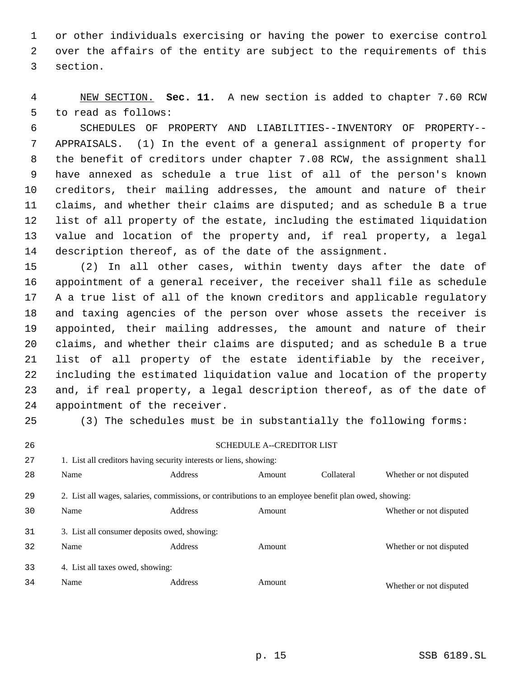or other individuals exercising or having the power to exercise control over the affairs of the entity are subject to the requirements of this section.

 NEW SECTION. **Sec. 11.** A new section is added to chapter 7.60 RCW to read as follows:

 SCHEDULES OF PROPERTY AND LIABILITIES--INVENTORY OF PROPERTY-- APPRAISALS. (1) In the event of a general assignment of property for the benefit of creditors under chapter 7.08 RCW, the assignment shall have annexed as schedule a true list of all of the person's known creditors, their mailing addresses, the amount and nature of their claims, and whether their claims are disputed; and as schedule B a true list of all property of the estate, including the estimated liquidation value and location of the property and, if real property, a legal description thereof, as of the date of the assignment.

 (2) In all other cases, within twenty days after the date of appointment of a general receiver, the receiver shall file as schedule A a true list of all of the known creditors and applicable regulatory and taxing agencies of the person over whose assets the receiver is appointed, their mailing addresses, the amount and nature of their claims, and whether their claims are disputed; and as schedule B a true list of all property of the estate identifiable by the receiver, including the estimated liquidation value and location of the property and, if real property, a legal description thereof, as of the date of appointment of the receiver.

SCHEDULE A--CREDITOR LIST

| 27 | 1. List all creditors having security interests or liens, showing:                                    |                |        |            |                         |
|----|-------------------------------------------------------------------------------------------------------|----------------|--------|------------|-------------------------|
| 28 | Name                                                                                                  | <b>Address</b> | Amount | Collateral | Whether or not disputed |
| 29 | 2. List all wages, salaries, commissions, or contributions to an employee benefit plan owed, showing: |                |        |            |                         |
| 30 | Name                                                                                                  | Address        | Amount |            | Whether or not disputed |
| 31 | 3. List all consumer deposits owed, showing:                                                          |                |        |            |                         |
| 32 | Name                                                                                                  | Address        | Amount |            | Whether or not disputed |
| 33 | 4. List all taxes owed, showing:                                                                      |                |        |            |                         |
| 34 | Name                                                                                                  | <b>Address</b> | Amount |            | Whether or not disputed |

(3) The schedules must be in substantially the following forms: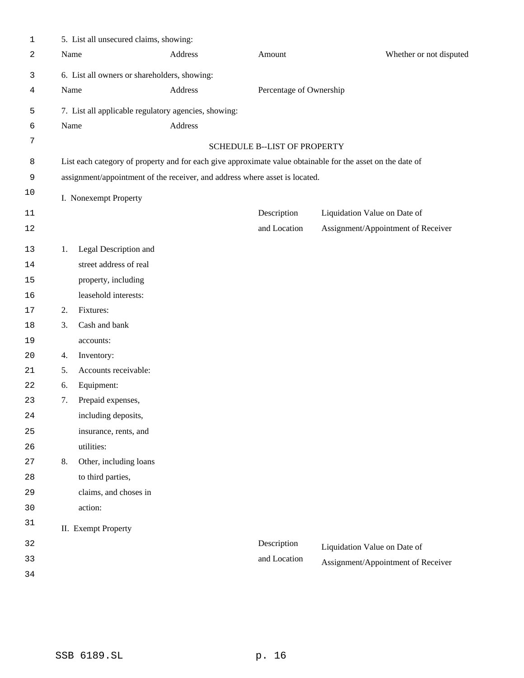| 1            |    | 5. List all unsecured claims, showing:                                                                     |         |                              |                                    |                         |
|--------------|----|------------------------------------------------------------------------------------------------------------|---------|------------------------------|------------------------------------|-------------------------|
| 2            |    | Name                                                                                                       | Address | Amount                       |                                    | Whether or not disputed |
| $\mathbf{3}$ |    | 6. List all owners or shareholders, showing:                                                               |         |                              |                                    |                         |
| 4            |    | Name                                                                                                       | Address | Percentage of Ownership      |                                    |                         |
| 5            |    | 7. List all applicable regulatory agencies, showing:                                                       |         |                              |                                    |                         |
| 6            |    | Name                                                                                                       | Address |                              |                                    |                         |
| 7            |    |                                                                                                            |         | SCHEDULE B--LIST OF PROPERTY |                                    |                         |
| 8            |    | List each category of property and for each give approximate value obtainable for the asset on the date of |         |                              |                                    |                         |
| 9            |    | assignment/appointment of the receiver, and address where asset is located.                                |         |                              |                                    |                         |
| 10           |    | I. Nonexempt Property                                                                                      |         |                              |                                    |                         |
| 11           |    |                                                                                                            |         | Description                  | Liquidation Value on Date of       |                         |
| 12           |    |                                                                                                            |         | and Location                 | Assignment/Appointment of Receiver |                         |
| 13           | 1. | Legal Description and                                                                                      |         |                              |                                    |                         |
| 14           |    | street address of real                                                                                     |         |                              |                                    |                         |
| 15           |    | property, including                                                                                        |         |                              |                                    |                         |
| 16           |    | leasehold interests:                                                                                       |         |                              |                                    |                         |
| 17           | 2. | Fixtures:                                                                                                  |         |                              |                                    |                         |
| 18           | 3. | Cash and bank                                                                                              |         |                              |                                    |                         |
| 19           |    | accounts:                                                                                                  |         |                              |                                    |                         |
| 20           | 4. | Inventory:                                                                                                 |         |                              |                                    |                         |
| 21           | 5. | Accounts receivable:                                                                                       |         |                              |                                    |                         |
| 22           | 6. | Equipment:                                                                                                 |         |                              |                                    |                         |
| 23           | 7. | Prepaid expenses,                                                                                          |         |                              |                                    |                         |
| 24           |    | including deposits,                                                                                        |         |                              |                                    |                         |
| 25           |    | insurance, rents, and                                                                                      |         |                              |                                    |                         |
| 26           |    | utilities:                                                                                                 |         |                              |                                    |                         |
| 27           | 8. | Other, including loans                                                                                     |         |                              |                                    |                         |
| 28           |    | to third parties,                                                                                          |         |                              |                                    |                         |
| 29           |    | claims, and choses in                                                                                      |         |                              |                                    |                         |
| 30           |    | action:                                                                                                    |         |                              |                                    |                         |
| 31           |    | II. Exempt Property                                                                                        |         |                              |                                    |                         |
| 32           |    |                                                                                                            |         | Description                  | Liquidation Value on Date of       |                         |
| 33           |    |                                                                                                            |         | and Location                 | Assignment/Appointment of Receiver |                         |
| 34           |    |                                                                                                            |         |                              |                                    |                         |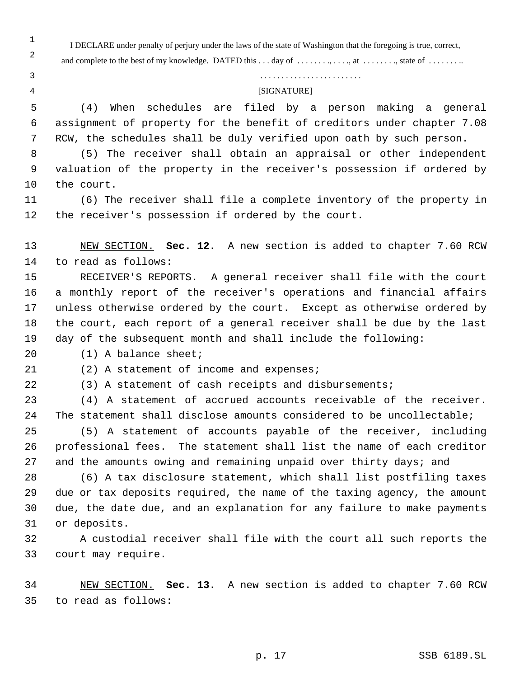I DECLARE under penalty of perjury under the laws of the state of Washington that the foregoing is true, correct, and complete to the best of my knowledge. DATED this . . . day of . . . . . . . . , at . . . . . . . , state of . . . . . . . . .

 (4) When schedules are filed by a person making a general assignment of property for the benefit of creditors under chapter 7.08

RCW, the schedules shall be duly verified upon oath by such person.

. . . . . . . . . . . . . . . . . . . . . . . .

[SIGNATURE]

 

 (5) The receiver shall obtain an appraisal or other independent valuation of the property in the receiver's possession if ordered by the court. (6) The receiver shall file a complete inventory of the property in the receiver's possession if ordered by the court. NEW SECTION. **Sec. 12.** A new section is added to chapter 7.60 RCW to read as follows: RECEIVER'S REPORTS. A general receiver shall file with the court a monthly report of the receiver's operations and financial affairs unless otherwise ordered by the court. Except as otherwise ordered by the court, each report of a general receiver shall be due by the last day of the subsequent month and shall include the following: (1) A balance sheet; (2) A statement of income and expenses; (3) A statement of cash receipts and disbursements; (4) A statement of accrued accounts receivable of the receiver. The statement shall disclose amounts considered to be uncollectable; (5) A statement of accounts payable of the receiver, including professional fees. The statement shall list the name of each creditor 27 and the amounts owing and remaining unpaid over thirty days; and (6) A tax disclosure statement, which shall list postfiling taxes due or tax deposits required, the name of the taxing agency, the amount due, the date due, and an explanation for any failure to make payments or deposits. A custodial receiver shall file with the court all such reports the court may require. NEW SECTION. **Sec. 13.** A new section is added to chapter 7.60 RCW to read as follows: p. 17 SSB 6189.SL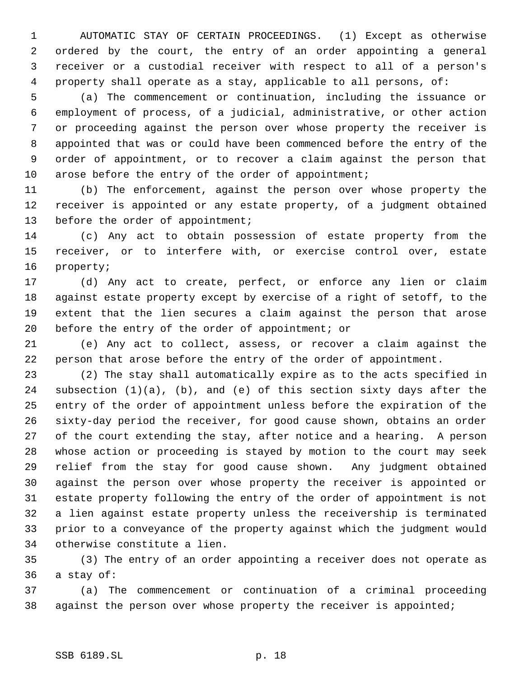AUTOMATIC STAY OF CERTAIN PROCEEDINGS. (1) Except as otherwise ordered by the court, the entry of an order appointing a general receiver or a custodial receiver with respect to all of a person's property shall operate as a stay, applicable to all persons, of:

 (a) The commencement or continuation, including the issuance or employment of process, of a judicial, administrative, or other action or proceeding against the person over whose property the receiver is appointed that was or could have been commenced before the entry of the order of appointment, or to recover a claim against the person that 10 arose before the entry of the order of appointment;

 (b) The enforcement, against the person over whose property the receiver is appointed or any estate property, of a judgment obtained 13 before the order of appointment;

 (c) Any act to obtain possession of estate property from the receiver, or to interfere with, or exercise control over, estate property;

 (d) Any act to create, perfect, or enforce any lien or claim against estate property except by exercise of a right of setoff, to the extent that the lien secures a claim against the person that arose before the entry of the order of appointment; or

 (e) Any act to collect, assess, or recover a claim against the person that arose before the entry of the order of appointment.

 (2) The stay shall automatically expire as to the acts specified in subsection (1)(a), (b), and (e) of this section sixty days after the entry of the order of appointment unless before the expiration of the sixty-day period the receiver, for good cause shown, obtains an order of the court extending the stay, after notice and a hearing. A person whose action or proceeding is stayed by motion to the court may seek relief from the stay for good cause shown. Any judgment obtained against the person over whose property the receiver is appointed or estate property following the entry of the order of appointment is not a lien against estate property unless the receivership is terminated prior to a conveyance of the property against which the judgment would otherwise constitute a lien.

 (3) The entry of an order appointing a receiver does not operate as a stay of:

 (a) The commencement or continuation of a criminal proceeding 38 against the person over whose property the receiver is appointed;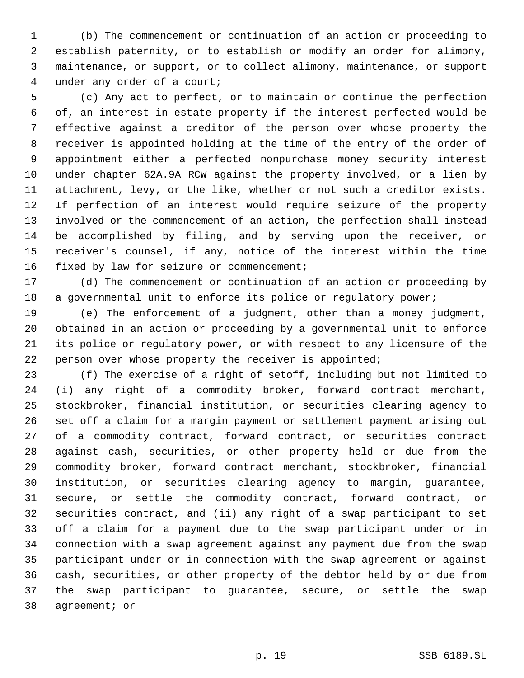(b) The commencement or continuation of an action or proceeding to establish paternity, or to establish or modify an order for alimony, maintenance, or support, or to collect alimony, maintenance, or support under any order of a court;

 (c) Any act to perfect, or to maintain or continue the perfection of, an interest in estate property if the interest perfected would be effective against a creditor of the person over whose property the receiver is appointed holding at the time of the entry of the order of appointment either a perfected nonpurchase money security interest under chapter 62A.9A RCW against the property involved, or a lien by attachment, levy, or the like, whether or not such a creditor exists. If perfection of an interest would require seizure of the property involved or the commencement of an action, the perfection shall instead be accomplished by filing, and by serving upon the receiver, or receiver's counsel, if any, notice of the interest within the time fixed by law for seizure or commencement;

 (d) The commencement or continuation of an action or proceeding by 18 a governmental unit to enforce its police or regulatory power;

 (e) The enforcement of a judgment, other than a money judgment, obtained in an action or proceeding by a governmental unit to enforce its police or regulatory power, or with respect to any licensure of the 22 person over whose property the receiver is appointed;

 (f) The exercise of a right of setoff, including but not limited to (i) any right of a commodity broker, forward contract merchant, stockbroker, financial institution, or securities clearing agency to set off a claim for a margin payment or settlement payment arising out of a commodity contract, forward contract, or securities contract against cash, securities, or other property held or due from the commodity broker, forward contract merchant, stockbroker, financial institution, or securities clearing agency to margin, guarantee, secure, or settle the commodity contract, forward contract, or securities contract, and (ii) any right of a swap participant to set off a claim for a payment due to the swap participant under or in connection with a swap agreement against any payment due from the swap participant under or in connection with the swap agreement or against cash, securities, or other property of the debtor held by or due from the swap participant to guarantee, secure, or settle the swap agreement; or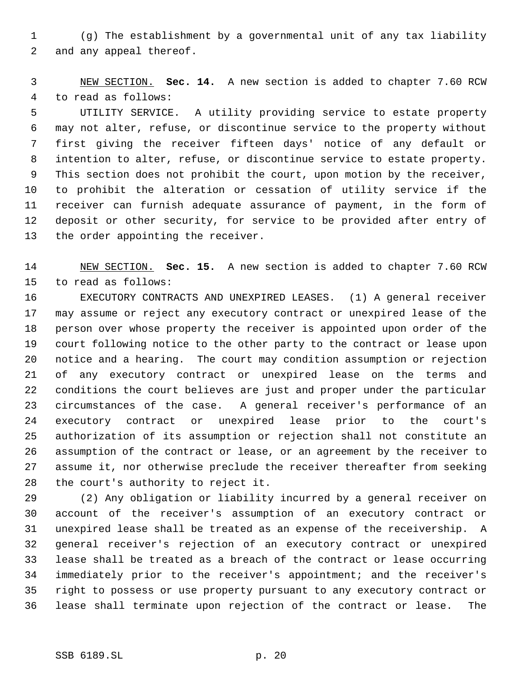(g) The establishment by a governmental unit of any tax liability and any appeal thereof.

 NEW SECTION. **Sec. 14.** A new section is added to chapter 7.60 RCW to read as follows:

 UTILITY SERVICE. A utility providing service to estate property may not alter, refuse, or discontinue service to the property without first giving the receiver fifteen days' notice of any default or intention to alter, refuse, or discontinue service to estate property. This section does not prohibit the court, upon motion by the receiver, to prohibit the alteration or cessation of utility service if the receiver can furnish adequate assurance of payment, in the form of deposit or other security, for service to be provided after entry of the order appointing the receiver.

 NEW SECTION. **Sec. 15.** A new section is added to chapter 7.60 RCW to read as follows:

 EXECUTORY CONTRACTS AND UNEXPIRED LEASES. (1) A general receiver may assume or reject any executory contract or unexpired lease of the person over whose property the receiver is appointed upon order of the court following notice to the other party to the contract or lease upon notice and a hearing. The court may condition assumption or rejection of any executory contract or unexpired lease on the terms and conditions the court believes are just and proper under the particular circumstances of the case. A general receiver's performance of an executory contract or unexpired lease prior to the court's authorization of its assumption or rejection shall not constitute an assumption of the contract or lease, or an agreement by the receiver to assume it, nor otherwise preclude the receiver thereafter from seeking the court's authority to reject it.

 (2) Any obligation or liability incurred by a general receiver on account of the receiver's assumption of an executory contract or unexpired lease shall be treated as an expense of the receivership. A general receiver's rejection of an executory contract or unexpired lease shall be treated as a breach of the contract or lease occurring immediately prior to the receiver's appointment; and the receiver's right to possess or use property pursuant to any executory contract or lease shall terminate upon rejection of the contract or lease. The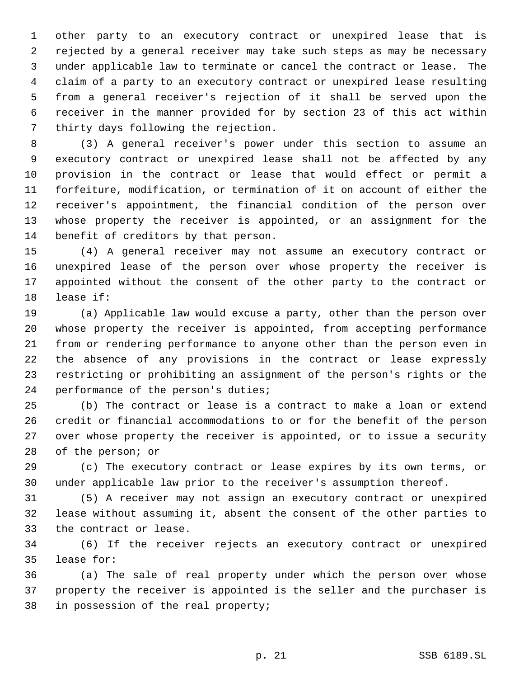other party to an executory contract or unexpired lease that is rejected by a general receiver may take such steps as may be necessary under applicable law to terminate or cancel the contract or lease. The claim of a party to an executory contract or unexpired lease resulting from a general receiver's rejection of it shall be served upon the receiver in the manner provided for by section 23 of this act within thirty days following the rejection.

 (3) A general receiver's power under this section to assume an executory contract or unexpired lease shall not be affected by any provision in the contract or lease that would effect or permit a forfeiture, modification, or termination of it on account of either the receiver's appointment, the financial condition of the person over whose property the receiver is appointed, or an assignment for the benefit of creditors by that person.

 (4) A general receiver may not assume an executory contract or unexpired lease of the person over whose property the receiver is appointed without the consent of the other party to the contract or lease if:

 (a) Applicable law would excuse a party, other than the person over whose property the receiver is appointed, from accepting performance from or rendering performance to anyone other than the person even in the absence of any provisions in the contract or lease expressly restricting or prohibiting an assignment of the person's rights or the performance of the person's duties;

 (b) The contract or lease is a contract to make a loan or extend credit or financial accommodations to or for the benefit of the person over whose property the receiver is appointed, or to issue a security of the person; or

 (c) The executory contract or lease expires by its own terms, or under applicable law prior to the receiver's assumption thereof.

 (5) A receiver may not assign an executory contract or unexpired lease without assuming it, absent the consent of the other parties to the contract or lease.

 (6) If the receiver rejects an executory contract or unexpired lease for:

 (a) The sale of real property under which the person over whose property the receiver is appointed is the seller and the purchaser is in possession of the real property;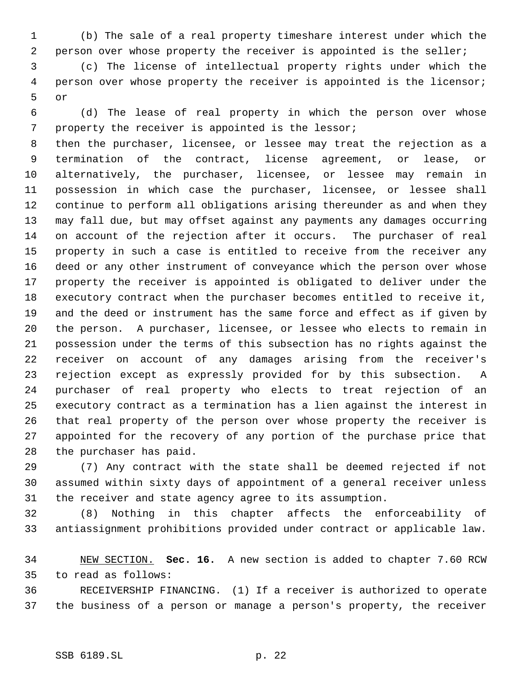(b) The sale of a real property timeshare interest under which the person over whose property the receiver is appointed is the seller;

 (c) The license of intellectual property rights under which the person over whose property the receiver is appointed is the licensor; or

 (d) The lease of real property in which the person over whose property the receiver is appointed is the lessor;

 then the purchaser, licensee, or lessee may treat the rejection as a termination of the contract, license agreement, or lease, or alternatively, the purchaser, licensee, or lessee may remain in possession in which case the purchaser, licensee, or lessee shall continue to perform all obligations arising thereunder as and when they may fall due, but may offset against any payments any damages occurring on account of the rejection after it occurs. The purchaser of real property in such a case is entitled to receive from the receiver any deed or any other instrument of conveyance which the person over whose property the receiver is appointed is obligated to deliver under the executory contract when the purchaser becomes entitled to receive it, and the deed or instrument has the same force and effect as if given by the person. A purchaser, licensee, or lessee who elects to remain in possession under the terms of this subsection has no rights against the receiver on account of any damages arising from the receiver's rejection except as expressly provided for by this subsection. A purchaser of real property who elects to treat rejection of an executory contract as a termination has a lien against the interest in that real property of the person over whose property the receiver is appointed for the recovery of any portion of the purchase price that the purchaser has paid.

 (7) Any contract with the state shall be deemed rejected if not assumed within sixty days of appointment of a general receiver unless the receiver and state agency agree to its assumption.

 (8) Nothing in this chapter affects the enforceability of antiassignment prohibitions provided under contract or applicable law.

 NEW SECTION. **Sec. 16.** A new section is added to chapter 7.60 RCW to read as follows:

 RECEIVERSHIP FINANCING. (1) If a receiver is authorized to operate the business of a person or manage a person's property, the receiver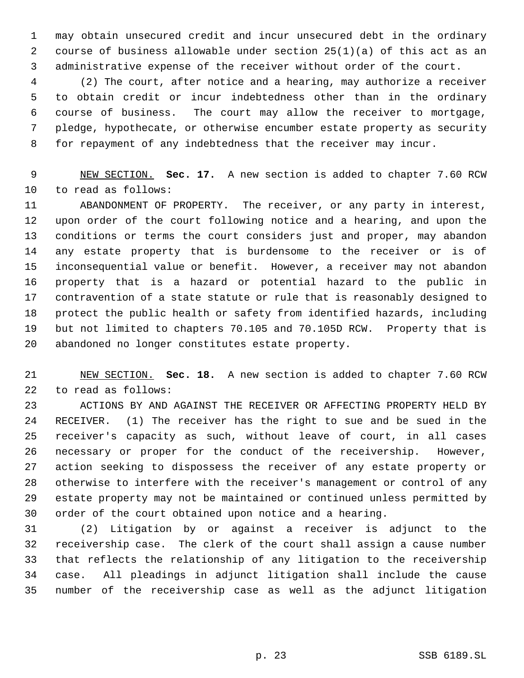may obtain unsecured credit and incur unsecured debt in the ordinary course of business allowable under section 25(1)(a) of this act as an administrative expense of the receiver without order of the court.

 (2) The court, after notice and a hearing, may authorize a receiver to obtain credit or incur indebtedness other than in the ordinary course of business. The court may allow the receiver to mortgage, pledge, hypothecate, or otherwise encumber estate property as security for repayment of any indebtedness that the receiver may incur.

 NEW SECTION. **Sec. 17.** A new section is added to chapter 7.60 RCW to read as follows:

 ABANDONMENT OF PROPERTY. The receiver, or any party in interest, upon order of the court following notice and a hearing, and upon the conditions or terms the court considers just and proper, may abandon any estate property that is burdensome to the receiver or is of inconsequential value or benefit. However, a receiver may not abandon property that is a hazard or potential hazard to the public in contravention of a state statute or rule that is reasonably designed to protect the public health or safety from identified hazards, including but not limited to chapters 70.105 and 70.105D RCW. Property that is abandoned no longer constitutes estate property.

 NEW SECTION. **Sec. 18.** A new section is added to chapter 7.60 RCW to read as follows:

 ACTIONS BY AND AGAINST THE RECEIVER OR AFFECTING PROPERTY HELD BY RECEIVER. (1) The receiver has the right to sue and be sued in the receiver's capacity as such, without leave of court, in all cases necessary or proper for the conduct of the receivership. However, action seeking to dispossess the receiver of any estate property or otherwise to interfere with the receiver's management or control of any estate property may not be maintained or continued unless permitted by order of the court obtained upon notice and a hearing.

 (2) Litigation by or against a receiver is adjunct to the receivership case. The clerk of the court shall assign a cause number that reflects the relationship of any litigation to the receivership case. All pleadings in adjunct litigation shall include the cause number of the receivership case as well as the adjunct litigation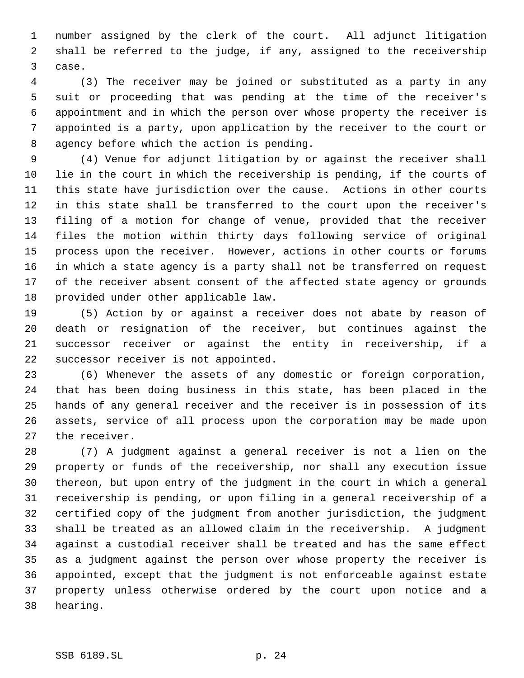number assigned by the clerk of the court. All adjunct litigation shall be referred to the judge, if any, assigned to the receivership case.

 (3) The receiver may be joined or substituted as a party in any suit or proceeding that was pending at the time of the receiver's appointment and in which the person over whose property the receiver is appointed is a party, upon application by the receiver to the court or agency before which the action is pending.

 (4) Venue for adjunct litigation by or against the receiver shall lie in the court in which the receivership is pending, if the courts of this state have jurisdiction over the cause. Actions in other courts in this state shall be transferred to the court upon the receiver's filing of a motion for change of venue, provided that the receiver files the motion within thirty days following service of original process upon the receiver. However, actions in other courts or forums in which a state agency is a party shall not be transferred on request of the receiver absent consent of the affected state agency or grounds provided under other applicable law.

 (5) Action by or against a receiver does not abate by reason of death or resignation of the receiver, but continues against the successor receiver or against the entity in receivership, if a successor receiver is not appointed.

 (6) Whenever the assets of any domestic or foreign corporation, that has been doing business in this state, has been placed in the hands of any general receiver and the receiver is in possession of its assets, service of all process upon the corporation may be made upon the receiver.

 (7) A judgment against a general receiver is not a lien on the property or funds of the receivership, nor shall any execution issue thereon, but upon entry of the judgment in the court in which a general receivership is pending, or upon filing in a general receivership of a certified copy of the judgment from another jurisdiction, the judgment shall be treated as an allowed claim in the receivership. A judgment against a custodial receiver shall be treated and has the same effect as a judgment against the person over whose property the receiver is appointed, except that the judgment is not enforceable against estate property unless otherwise ordered by the court upon notice and a hearing.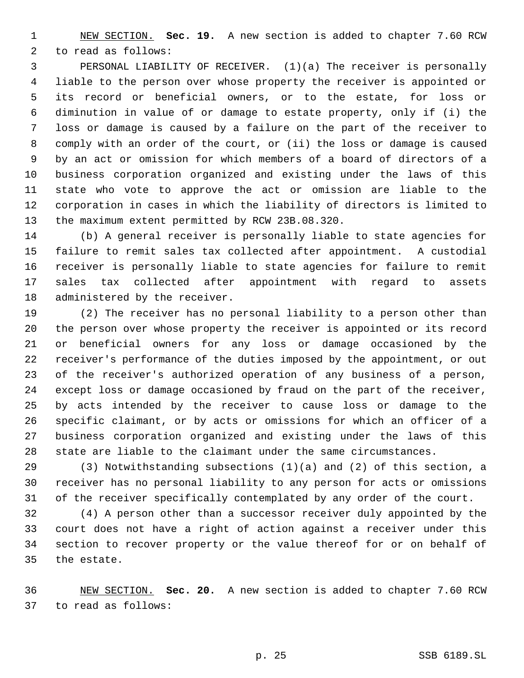NEW SECTION. **Sec. 19.** A new section is added to chapter 7.60 RCW to read as follows:

 PERSONAL LIABILITY OF RECEIVER. (1)(a) The receiver is personally liable to the person over whose property the receiver is appointed or its record or beneficial owners, or to the estate, for loss or diminution in value of or damage to estate property, only if (i) the loss or damage is caused by a failure on the part of the receiver to comply with an order of the court, or (ii) the loss or damage is caused by an act or omission for which members of a board of directors of a business corporation organized and existing under the laws of this state who vote to approve the act or omission are liable to the corporation in cases in which the liability of directors is limited to the maximum extent permitted by RCW 23B.08.320.

 (b) A general receiver is personally liable to state agencies for failure to remit sales tax collected after appointment. A custodial receiver is personally liable to state agencies for failure to remit sales tax collected after appointment with regard to assets administered by the receiver.

 (2) The receiver has no personal liability to a person other than the person over whose property the receiver is appointed or its record or beneficial owners for any loss or damage occasioned by the receiver's performance of the duties imposed by the appointment, or out of the receiver's authorized operation of any business of a person, except loss or damage occasioned by fraud on the part of the receiver, by acts intended by the receiver to cause loss or damage to the specific claimant, or by acts or omissions for which an officer of a business corporation organized and existing under the laws of this state are liable to the claimant under the same circumstances.

 (3) Notwithstanding subsections (1)(a) and (2) of this section, a receiver has no personal liability to any person for acts or omissions of the receiver specifically contemplated by any order of the court.

 (4) A person other than a successor receiver duly appointed by the court does not have a right of action against a receiver under this section to recover property or the value thereof for or on behalf of the estate.

 NEW SECTION. **Sec. 20.** A new section is added to chapter 7.60 RCW to read as follows: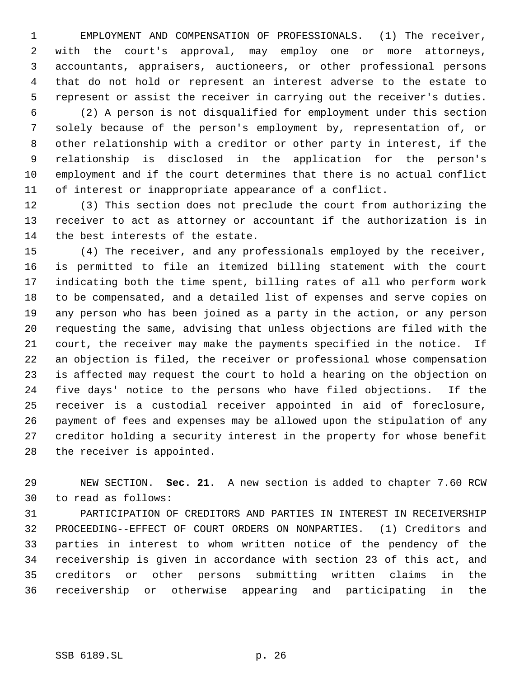EMPLOYMENT AND COMPENSATION OF PROFESSIONALS. (1) The receiver, with the court's approval, may employ one or more attorneys, accountants, appraisers, auctioneers, or other professional persons that do not hold or represent an interest adverse to the estate to represent or assist the receiver in carrying out the receiver's duties.

 (2) A person is not disqualified for employment under this section solely because of the person's employment by, representation of, or other relationship with a creditor or other party in interest, if the relationship is disclosed in the application for the person's employment and if the court determines that there is no actual conflict of interest or inappropriate appearance of a conflict.

 (3) This section does not preclude the court from authorizing the receiver to act as attorney or accountant if the authorization is in the best interests of the estate.

 (4) The receiver, and any professionals employed by the receiver, is permitted to file an itemized billing statement with the court indicating both the time spent, billing rates of all who perform work to be compensated, and a detailed list of expenses and serve copies on any person who has been joined as a party in the action, or any person requesting the same, advising that unless objections are filed with the court, the receiver may make the payments specified in the notice. If an objection is filed, the receiver or professional whose compensation is affected may request the court to hold a hearing on the objection on five days' notice to the persons who have filed objections. If the receiver is a custodial receiver appointed in aid of foreclosure, payment of fees and expenses may be allowed upon the stipulation of any creditor holding a security interest in the property for whose benefit the receiver is appointed.

 NEW SECTION. **Sec. 21.** A new section is added to chapter 7.60 RCW to read as follows:

 PARTICIPATION OF CREDITORS AND PARTIES IN INTEREST IN RECEIVERSHIP PROCEEDING--EFFECT OF COURT ORDERS ON NONPARTIES. (1) Creditors and parties in interest to whom written notice of the pendency of the receivership is given in accordance with section 23 of this act, and creditors or other persons submitting written claims in the receivership or otherwise appearing and participating in the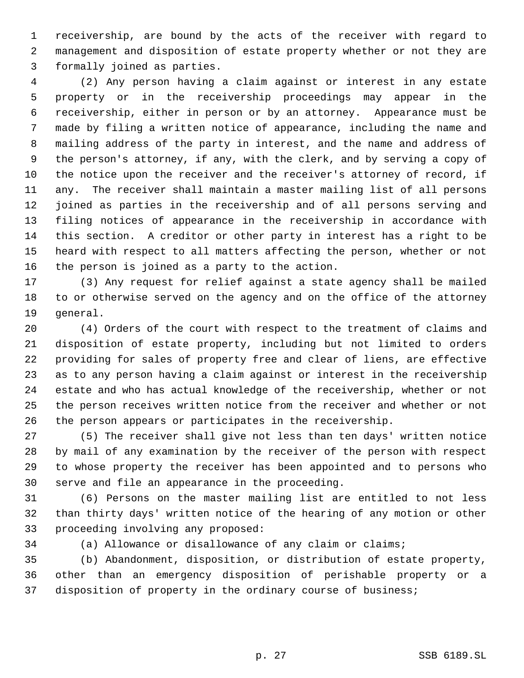receivership, are bound by the acts of the receiver with regard to management and disposition of estate property whether or not they are formally joined as parties.

 (2) Any person having a claim against or interest in any estate property or in the receivership proceedings may appear in the receivership, either in person or by an attorney. Appearance must be made by filing a written notice of appearance, including the name and mailing address of the party in interest, and the name and address of the person's attorney, if any, with the clerk, and by serving a copy of the notice upon the receiver and the receiver's attorney of record, if any. The receiver shall maintain a master mailing list of all persons joined as parties in the receivership and of all persons serving and filing notices of appearance in the receivership in accordance with this section. A creditor or other party in interest has a right to be heard with respect to all matters affecting the person, whether or not the person is joined as a party to the action.

 (3) Any request for relief against a state agency shall be mailed to or otherwise served on the agency and on the office of the attorney general.

 (4) Orders of the court with respect to the treatment of claims and disposition of estate property, including but not limited to orders providing for sales of property free and clear of liens, are effective as to any person having a claim against or interest in the receivership estate and who has actual knowledge of the receivership, whether or not the person receives written notice from the receiver and whether or not the person appears or participates in the receivership.

 (5) The receiver shall give not less than ten days' written notice by mail of any examination by the receiver of the person with respect to whose property the receiver has been appointed and to persons who serve and file an appearance in the proceeding.

 (6) Persons on the master mailing list are entitled to not less than thirty days' written notice of the hearing of any motion or other proceeding involving any proposed:

(a) Allowance or disallowance of any claim or claims;

 (b) Abandonment, disposition, or distribution of estate property, other than an emergency disposition of perishable property or a disposition of property in the ordinary course of business;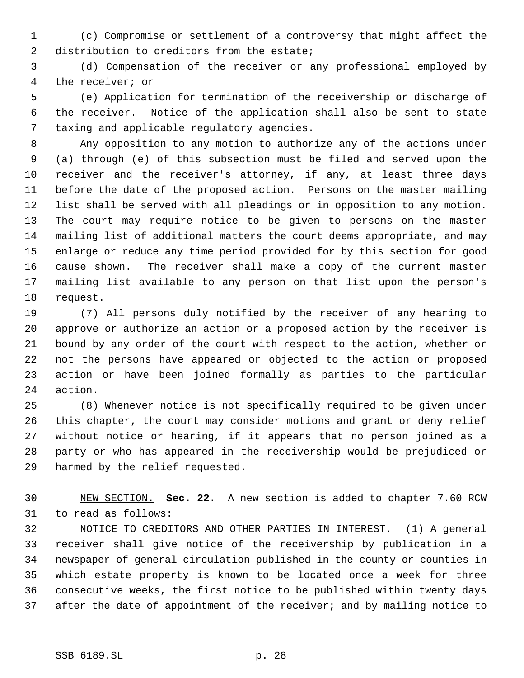(c) Compromise or settlement of a controversy that might affect the 2 distribution to creditors from the estate;

 (d) Compensation of the receiver or any professional employed by the receiver; or

 (e) Application for termination of the receivership or discharge of the receiver. Notice of the application shall also be sent to state taxing and applicable regulatory agencies.

 Any opposition to any motion to authorize any of the actions under (a) through (e) of this subsection must be filed and served upon the receiver and the receiver's attorney, if any, at least three days before the date of the proposed action. Persons on the master mailing list shall be served with all pleadings or in opposition to any motion. The court may require notice to be given to persons on the master mailing list of additional matters the court deems appropriate, and may enlarge or reduce any time period provided for by this section for good cause shown. The receiver shall make a copy of the current master mailing list available to any person on that list upon the person's request.

 (7) All persons duly notified by the receiver of any hearing to approve or authorize an action or a proposed action by the receiver is bound by any order of the court with respect to the action, whether or not the persons have appeared or objected to the action or proposed action or have been joined formally as parties to the particular action.

 (8) Whenever notice is not specifically required to be given under this chapter, the court may consider motions and grant or deny relief without notice or hearing, if it appears that no person joined as a party or who has appeared in the receivership would be prejudiced or harmed by the relief requested.

 NEW SECTION. **Sec. 22.** A new section is added to chapter 7.60 RCW to read as follows:

 NOTICE TO CREDITORS AND OTHER PARTIES IN INTEREST. (1) A general receiver shall give notice of the receivership by publication in a newspaper of general circulation published in the county or counties in which estate property is known to be located once a week for three consecutive weeks, the first notice to be published within twenty days 37 after the date of appointment of the receiver; and by mailing notice to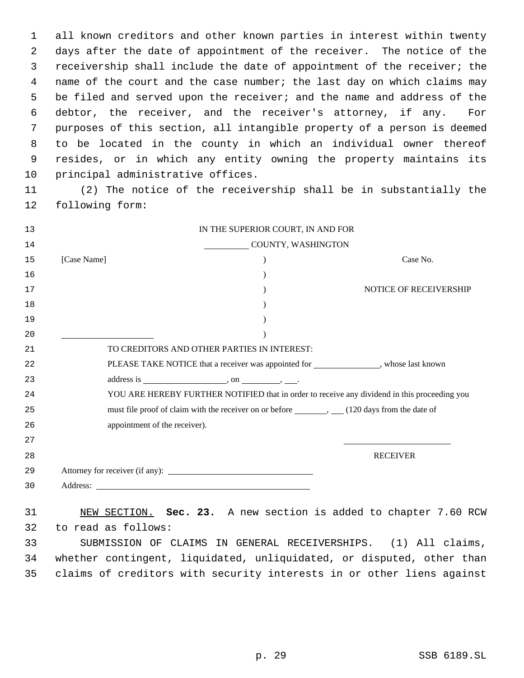all known creditors and other known parties in interest within twenty days after the date of appointment of the receiver. The notice of the receivership shall include the date of appointment of the receiver; the 4 name of the court and the case number; the last day on which claims may be filed and served upon the receiver; and the name and address of the debtor, the receiver, and the receiver's attorney, if any. For purposes of this section, all intangible property of a person is deemed to be located in the county in which an individual owner thereof resides, or in which any entity owning the property maintains its principal administrative offices.

 (2) The notice of the receivership shall be in substantially the following form:

| 13 | IN THE SUPERIOR COURT, IN AND FOR                                                                 |  |
|----|---------------------------------------------------------------------------------------------------|--|
| 14 | COUNTY, WASHINGTON                                                                                |  |
| 15 | [Case Name]<br>Case No.                                                                           |  |
| 16 |                                                                                                   |  |
| 17 | NOTICE OF RECEIVERSHIP                                                                            |  |
| 18 |                                                                                                   |  |
| 19 |                                                                                                   |  |
| 20 |                                                                                                   |  |
| 21 | TO CREDITORS AND OTHER PARTIES IN INTEREST:                                                       |  |
| 22 | PLEASE TAKE NOTICE that a receiver was appointed for ______________, whose last known             |  |
| 23 |                                                                                                   |  |
| 24 | YOU ARE HEREBY FURTHER NOTIFIED that in order to receive any dividend in this proceeding you      |  |
| 25 | must file proof of claim with the receiver on or before _________, ____(120 days from the date of |  |
| 26 | appointment of the receiver).                                                                     |  |
| 27 |                                                                                                   |  |
| 28 | <b>RECEIVER</b>                                                                                   |  |
| 29 |                                                                                                   |  |
| 30 |                                                                                                   |  |
| 31 | NEW SECTION. Sec. 23. A new section is added to chapter 7.60 RCW                                  |  |
| 32 | to read as follows:                                                                               |  |
| 33 | SUBMISSION OF CLAIMS IN GENERAL RECEIVERSHIPS. (1) All claims,                                    |  |
| 34 | whether contingent, liquidated, unliquidated, or disputed, other than                             |  |
| 35 | claims of creditors with security interests in or other liens against                             |  |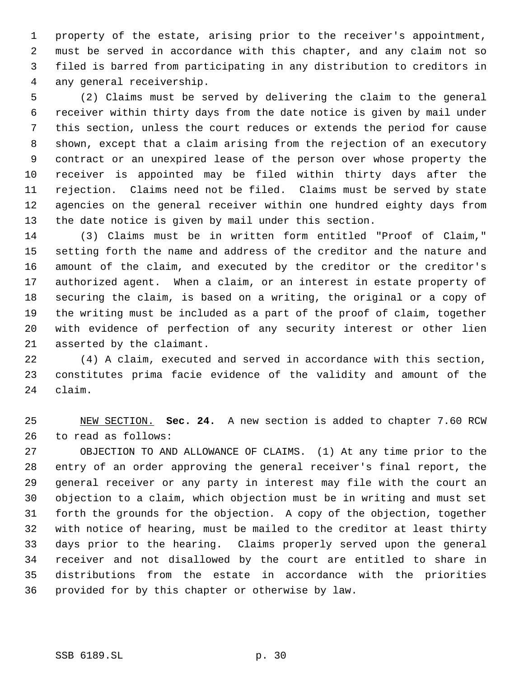property of the estate, arising prior to the receiver's appointment, must be served in accordance with this chapter, and any claim not so filed is barred from participating in any distribution to creditors in any general receivership.

 (2) Claims must be served by delivering the claim to the general receiver within thirty days from the date notice is given by mail under this section, unless the court reduces or extends the period for cause shown, except that a claim arising from the rejection of an executory contract or an unexpired lease of the person over whose property the receiver is appointed may be filed within thirty days after the rejection. Claims need not be filed. Claims must be served by state agencies on the general receiver within one hundred eighty days from the date notice is given by mail under this section.

 (3) Claims must be in written form entitled "Proof of Claim," setting forth the name and address of the creditor and the nature and amount of the claim, and executed by the creditor or the creditor's authorized agent. When a claim, or an interest in estate property of securing the claim, is based on a writing, the original or a copy of the writing must be included as a part of the proof of claim, together with evidence of perfection of any security interest or other lien asserted by the claimant.

 (4) A claim, executed and served in accordance with this section, constitutes prima facie evidence of the validity and amount of the claim.

 NEW SECTION. **Sec. 24.** A new section is added to chapter 7.60 RCW to read as follows:

 OBJECTION TO AND ALLOWANCE OF CLAIMS. (1) At any time prior to the entry of an order approving the general receiver's final report, the general receiver or any party in interest may file with the court an objection to a claim, which objection must be in writing and must set forth the grounds for the objection. A copy of the objection, together with notice of hearing, must be mailed to the creditor at least thirty days prior to the hearing. Claims properly served upon the general receiver and not disallowed by the court are entitled to share in distributions from the estate in accordance with the priorities provided for by this chapter or otherwise by law.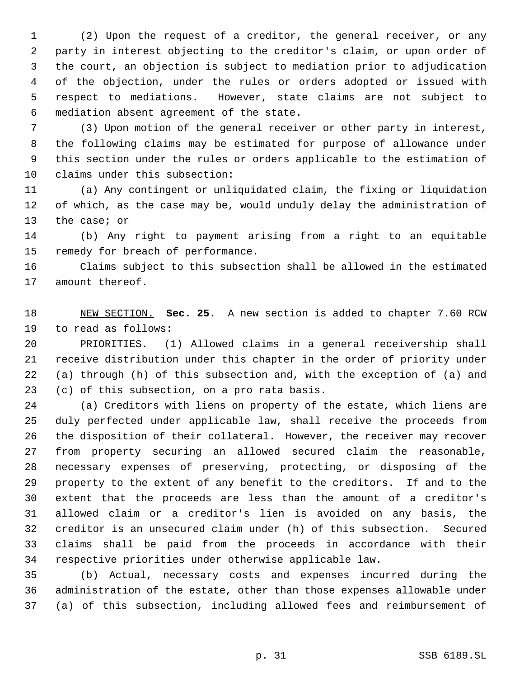(2) Upon the request of a creditor, the general receiver, or any party in interest objecting to the creditor's claim, or upon order of the court, an objection is subject to mediation prior to adjudication of the objection, under the rules or orders adopted or issued with respect to mediations. However, state claims are not subject to mediation absent agreement of the state.

 (3) Upon motion of the general receiver or other party in interest, the following claims may be estimated for purpose of allowance under this section under the rules or orders applicable to the estimation of claims under this subsection:

 (a) Any contingent or unliquidated claim, the fixing or liquidation of which, as the case may be, would unduly delay the administration of the case; or

 (b) Any right to payment arising from a right to an equitable remedy for breach of performance.

 Claims subject to this subsection shall be allowed in the estimated amount thereof.

 NEW SECTION. **Sec. 25.** A new section is added to chapter 7.60 RCW to read as follows:

 PRIORITIES. (1) Allowed claims in a general receivership shall receive distribution under this chapter in the order of priority under (a) through (h) of this subsection and, with the exception of (a) and (c) of this subsection, on a pro rata basis.

 (a) Creditors with liens on property of the estate, which liens are duly perfected under applicable law, shall receive the proceeds from the disposition of their collateral. However, the receiver may recover from property securing an allowed secured claim the reasonable, necessary expenses of preserving, protecting, or disposing of the property to the extent of any benefit to the creditors. If and to the extent that the proceeds are less than the amount of a creditor's allowed claim or a creditor's lien is avoided on any basis, the creditor is an unsecured claim under (h) of this subsection. Secured claims shall be paid from the proceeds in accordance with their respective priorities under otherwise applicable law.

 (b) Actual, necessary costs and expenses incurred during the administration of the estate, other than those expenses allowable under (a) of this subsection, including allowed fees and reimbursement of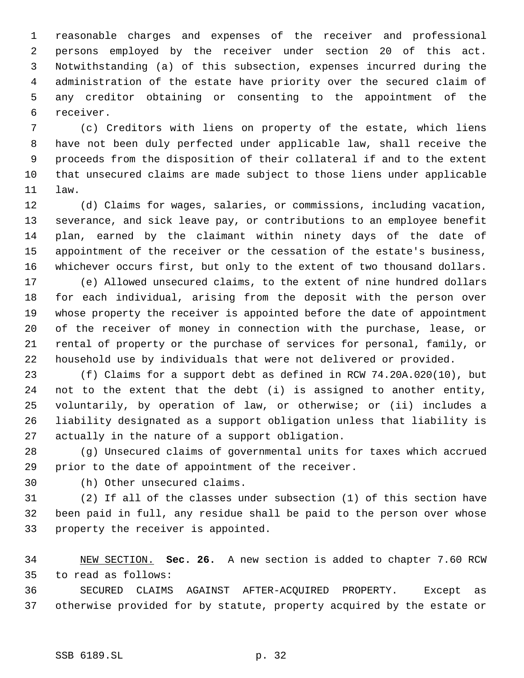reasonable charges and expenses of the receiver and professional persons employed by the receiver under section 20 of this act. Notwithstanding (a) of this subsection, expenses incurred during the administration of the estate have priority over the secured claim of any creditor obtaining or consenting to the appointment of the receiver.

 (c) Creditors with liens on property of the estate, which liens have not been duly perfected under applicable law, shall receive the proceeds from the disposition of their collateral if and to the extent that unsecured claims are made subject to those liens under applicable law.

 (d) Claims for wages, salaries, or commissions, including vacation, severance, and sick leave pay, or contributions to an employee benefit plan, earned by the claimant within ninety days of the date of appointment of the receiver or the cessation of the estate's business, whichever occurs first, but only to the extent of two thousand dollars.

 (e) Allowed unsecured claims, to the extent of nine hundred dollars for each individual, arising from the deposit with the person over whose property the receiver is appointed before the date of appointment of the receiver of money in connection with the purchase, lease, or rental of property or the purchase of services for personal, family, or household use by individuals that were not delivered or provided.

 (f) Claims for a support debt as defined in RCW 74.20A.020(10), but not to the extent that the debt (i) is assigned to another entity, voluntarily, by operation of law, or otherwise; or (ii) includes a liability designated as a support obligation unless that liability is actually in the nature of a support obligation.

 (g) Unsecured claims of governmental units for taxes which accrued prior to the date of appointment of the receiver.

(h) Other unsecured claims.

 (2) If all of the classes under subsection (1) of this section have been paid in full, any residue shall be paid to the person over whose property the receiver is appointed.

 NEW SECTION. **Sec. 26.** A new section is added to chapter 7.60 RCW to read as follows:

 SECURED CLAIMS AGAINST AFTER-ACQUIRED PROPERTY. Except as otherwise provided for by statute, property acquired by the estate or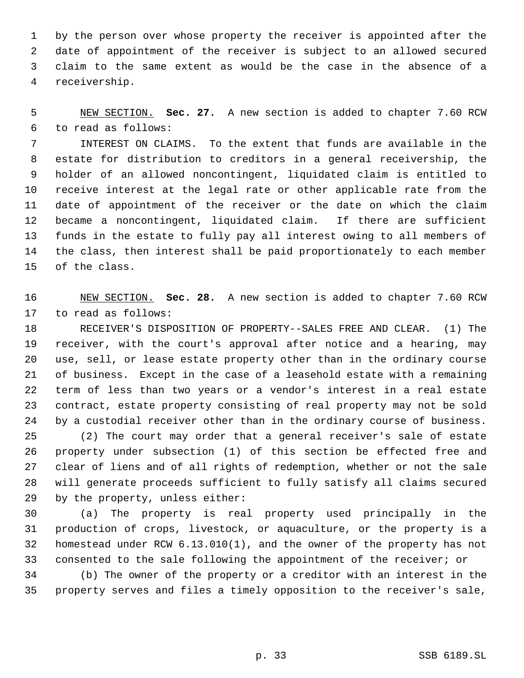by the person over whose property the receiver is appointed after the date of appointment of the receiver is subject to an allowed secured claim to the same extent as would be the case in the absence of a receivership.

 NEW SECTION. **Sec. 27.** A new section is added to chapter 7.60 RCW to read as follows:

 INTEREST ON CLAIMS. To the extent that funds are available in the estate for distribution to creditors in a general receivership, the holder of an allowed noncontingent, liquidated claim is entitled to receive interest at the legal rate or other applicable rate from the date of appointment of the receiver or the date on which the claim became a noncontingent, liquidated claim. If there are sufficient funds in the estate to fully pay all interest owing to all members of the class, then interest shall be paid proportionately to each member of the class.

 NEW SECTION. **Sec. 28.** A new section is added to chapter 7.60 RCW to read as follows:

 RECEIVER'S DISPOSITION OF PROPERTY--SALES FREE AND CLEAR. (1) The receiver, with the court's approval after notice and a hearing, may use, sell, or lease estate property other than in the ordinary course of business. Except in the case of a leasehold estate with a remaining term of less than two years or a vendor's interest in a real estate contract, estate property consisting of real property may not be sold by a custodial receiver other than in the ordinary course of business. (2) The court may order that a general receiver's sale of estate property under subsection (1) of this section be effected free and clear of liens and of all rights of redemption, whether or not the sale will generate proceeds sufficient to fully satisfy all claims secured by the property, unless either:

 (a) The property is real property used principally in the production of crops, livestock, or aquaculture, or the property is a homestead under RCW 6.13.010(1), and the owner of the property has not consented to the sale following the appointment of the receiver; or

 (b) The owner of the property or a creditor with an interest in the property serves and files a timely opposition to the receiver's sale,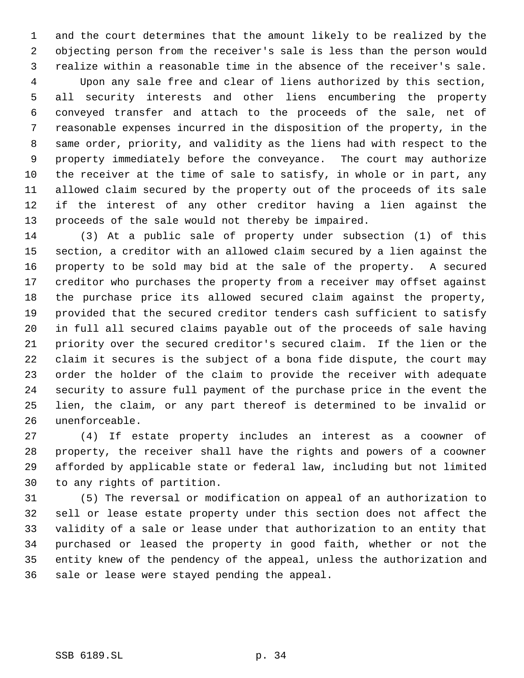and the court determines that the amount likely to be realized by the objecting person from the receiver's sale is less than the person would realize within a reasonable time in the absence of the receiver's sale.

 Upon any sale free and clear of liens authorized by this section, all security interests and other liens encumbering the property conveyed transfer and attach to the proceeds of the sale, net of reasonable expenses incurred in the disposition of the property, in the same order, priority, and validity as the liens had with respect to the property immediately before the conveyance. The court may authorize the receiver at the time of sale to satisfy, in whole or in part, any allowed claim secured by the property out of the proceeds of its sale if the interest of any other creditor having a lien against the proceeds of the sale would not thereby be impaired.

 (3) At a public sale of property under subsection (1) of this section, a creditor with an allowed claim secured by a lien against the property to be sold may bid at the sale of the property. A secured creditor who purchases the property from a receiver may offset against the purchase price its allowed secured claim against the property, provided that the secured creditor tenders cash sufficient to satisfy in full all secured claims payable out of the proceeds of sale having priority over the secured creditor's secured claim. If the lien or the claim it secures is the subject of a bona fide dispute, the court may order the holder of the claim to provide the receiver with adequate security to assure full payment of the purchase price in the event the lien, the claim, or any part thereof is determined to be invalid or unenforceable.

 (4) If estate property includes an interest as a coowner of property, the receiver shall have the rights and powers of a coowner afforded by applicable state or federal law, including but not limited to any rights of partition.

 (5) The reversal or modification on appeal of an authorization to sell or lease estate property under this section does not affect the validity of a sale or lease under that authorization to an entity that purchased or leased the property in good faith, whether or not the entity knew of the pendency of the appeal, unless the authorization and sale or lease were stayed pending the appeal.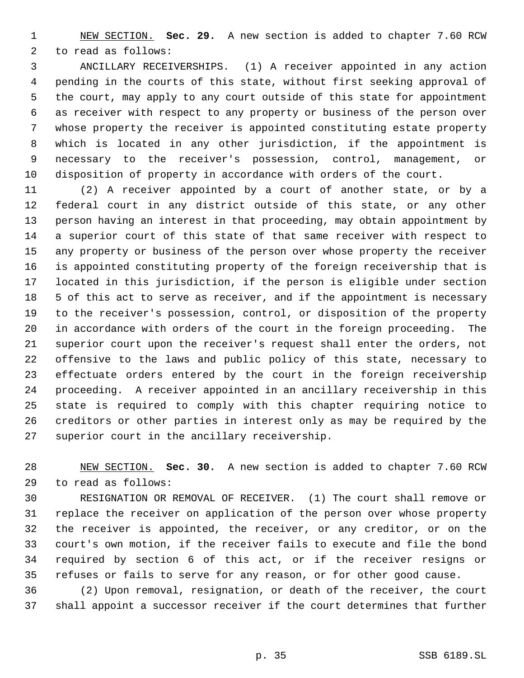NEW SECTION. **Sec. 29.** A new section is added to chapter 7.60 RCW to read as follows:

 ANCILLARY RECEIVERSHIPS. (1) A receiver appointed in any action pending in the courts of this state, without first seeking approval of the court, may apply to any court outside of this state for appointment as receiver with respect to any property or business of the person over whose property the receiver is appointed constituting estate property which is located in any other jurisdiction, if the appointment is necessary to the receiver's possession, control, management, or disposition of property in accordance with orders of the court.

 (2) A receiver appointed by a court of another state, or by a federal court in any district outside of this state, or any other person having an interest in that proceeding, may obtain appointment by a superior court of this state of that same receiver with respect to any property or business of the person over whose property the receiver is appointed constituting property of the foreign receivership that is located in this jurisdiction, if the person is eligible under section 5 of this act to serve as receiver, and if the appointment is necessary to the receiver's possession, control, or disposition of the property in accordance with orders of the court in the foreign proceeding. The superior court upon the receiver's request shall enter the orders, not offensive to the laws and public policy of this state, necessary to effectuate orders entered by the court in the foreign receivership proceeding. A receiver appointed in an ancillary receivership in this state is required to comply with this chapter requiring notice to creditors or other parties in interest only as may be required by the superior court in the ancillary receivership.

 NEW SECTION. **Sec. 30.** A new section is added to chapter 7.60 RCW to read as follows:

 RESIGNATION OR REMOVAL OF RECEIVER. (1) The court shall remove or replace the receiver on application of the person over whose property the receiver is appointed, the receiver, or any creditor, or on the court's own motion, if the receiver fails to execute and file the bond required by section 6 of this act, or if the receiver resigns or refuses or fails to serve for any reason, or for other good cause.

 (2) Upon removal, resignation, or death of the receiver, the court shall appoint a successor receiver if the court determines that further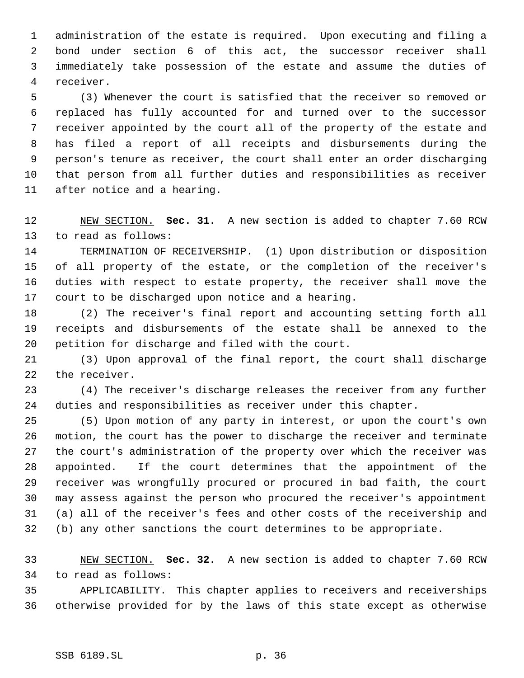administration of the estate is required. Upon executing and filing a bond under section 6 of this act, the successor receiver shall immediately take possession of the estate and assume the duties of receiver.

 (3) Whenever the court is satisfied that the receiver so removed or replaced has fully accounted for and turned over to the successor receiver appointed by the court all of the property of the estate and has filed a report of all receipts and disbursements during the person's tenure as receiver, the court shall enter an order discharging that person from all further duties and responsibilities as receiver after notice and a hearing.

 NEW SECTION. **Sec. 31.** A new section is added to chapter 7.60 RCW to read as follows:

 TERMINATION OF RECEIVERSHIP. (1) Upon distribution or disposition of all property of the estate, or the completion of the receiver's duties with respect to estate property, the receiver shall move the court to be discharged upon notice and a hearing.

 (2) The receiver's final report and accounting setting forth all receipts and disbursements of the estate shall be annexed to the petition for discharge and filed with the court.

 (3) Upon approval of the final report, the court shall discharge the receiver.

 (4) The receiver's discharge releases the receiver from any further duties and responsibilities as receiver under this chapter.

 (5) Upon motion of any party in interest, or upon the court's own motion, the court has the power to discharge the receiver and terminate the court's administration of the property over which the receiver was appointed. If the court determines that the appointment of the receiver was wrongfully procured or procured in bad faith, the court may assess against the person who procured the receiver's appointment (a) all of the receiver's fees and other costs of the receivership and (b) any other sanctions the court determines to be appropriate.

 NEW SECTION. **Sec. 32.** A new section is added to chapter 7.60 RCW to read as follows:

 APPLICABILITY. This chapter applies to receivers and receiverships otherwise provided for by the laws of this state except as otherwise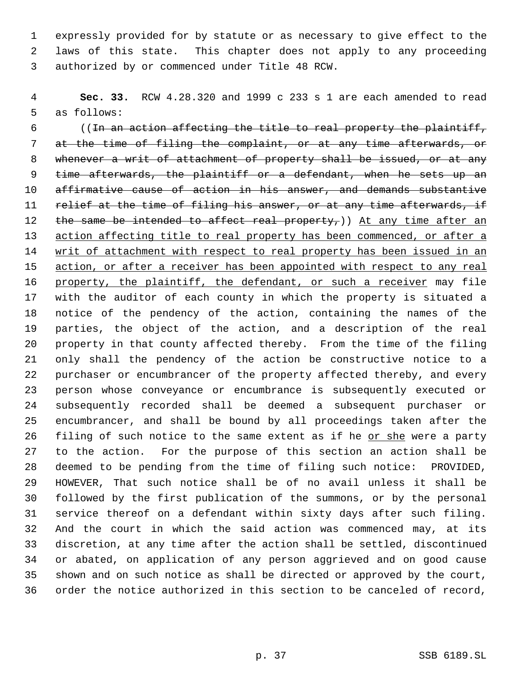expressly provided for by statute or as necessary to give effect to the laws of this state. This chapter does not apply to any proceeding authorized by or commenced under Title 48 RCW.

 **Sec. 33.** RCW 4.28.320 and 1999 c 233 s 1 are each amended to read as follows:

 ((In an action affecting the title to real property the plaintiff, at the time of filing the complaint, or at any time afterwards, or 8 whenever a writ of attachment of property shall be issued, or at any time afterwards, the plaintiff or a defendant, when he sets up an affirmative cause of action in his answer, and demands substantive 11 relief at the time of filing his answer, or at any time afterwards, if 12 the same be intended to affect real property,)) At any time after an action affecting title to real property has been commenced, or after a 14 writ of attachment with respect to real property has been issued in an 15 action, or after a receiver has been appointed with respect to any real 16 property, the plaintiff, the defendant, or such a receiver may file with the auditor of each county in which the property is situated a notice of the pendency of the action, containing the names of the parties, the object of the action, and a description of the real property in that county affected thereby. From the time of the filing only shall the pendency of the action be constructive notice to a purchaser or encumbrancer of the property affected thereby, and every person whose conveyance or encumbrance is subsequently executed or subsequently recorded shall be deemed a subsequent purchaser or encumbrancer, and shall be bound by all proceedings taken after the 26 filing of such notice to the same extent as if he or she were a party to the action. For the purpose of this section an action shall be deemed to be pending from the time of filing such notice: PROVIDED, HOWEVER, That such notice shall be of no avail unless it shall be followed by the first publication of the summons, or by the personal service thereof on a defendant within sixty days after such filing. And the court in which the said action was commenced may, at its discretion, at any time after the action shall be settled, discontinued or abated, on application of any person aggrieved and on good cause shown and on such notice as shall be directed or approved by the court, order the notice authorized in this section to be canceled of record,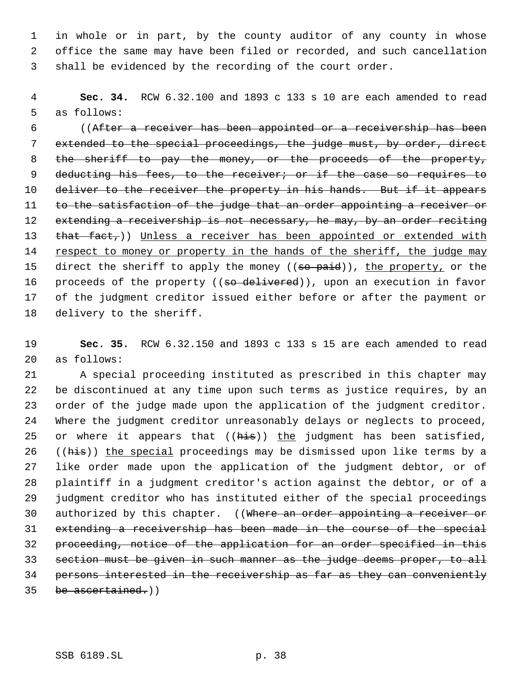in whole or in part, by the county auditor of any county in whose office the same may have been filed or recorded, and such cancellation shall be evidenced by the recording of the court order.

 **Sec. 34.** RCW 6.32.100 and 1893 c 133 s 10 are each amended to read as follows:

 ((After a receiver has been appointed or a receivership has been extended to the special proceedings, the judge must, by order, direct 8 the sheriff to pay the money, or the proceeds of the property, 9 deducting his fees, to the receiver; or if the case so requires to 10 deliver to the receiver the property in his hands. But if it appears 11 to the satisfaction of the judge that an order appointing a receiver or 12 extending a receivership is not necessary, he may, by an order reciting 13 that fact,)) Unless a receiver has been appointed or extended with 14 respect to money or property in the hands of the sheriff, the judge may 15 direct the sheriff to apply the money ((so paid)), the property, or the 16 proceeds of the property ((so delivered)), upon an execution in favor of the judgment creditor issued either before or after the payment or delivery to the sheriff.

 **Sec. 35.** RCW 6.32.150 and 1893 c 133 s 15 are each amended to read as follows:

 A special proceeding instituted as prescribed in this chapter may be discontinued at any time upon such terms as justice requires, by an order of the judge made upon the application of the judgment creditor. Where the judgment creditor unreasonably delays or neglects to proceed, 25 or where it appears that  $(\overline{his})$  the judgment has been satisfied, 26 ((his)) the special proceedings may be dismissed upon like terms by a like order made upon the application of the judgment debtor, or of plaintiff in a judgment creditor's action against the debtor, or of a judgment creditor who has instituted either of the special proceedings 30 authorized by this chapter. ((Where an order appointing a receiver or extending a receivership has been made in the course of the special proceeding, notice of the application for an order specified in this section must be given in such manner as the judge deems proper, to all persons interested in the receivership as far as they can conveniently 35 be ascertained.)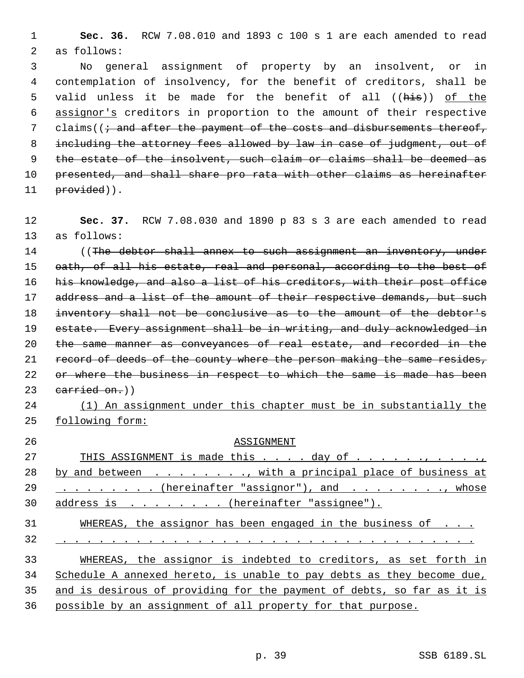1 **Sec. 36.** RCW 7.08.010 and 1893 c 100 s 1 are each amended to read 2 as follows:

 3 No general assignment of property by an insolvent, or in 4 contemplation of insolvency, for the benefit of creditors, shall be 5 valid unless it be made for the benefit of all ((his)) of the 6 assignor's creditors in proportion to the amount of their respective 7 claims( $(i \cdot$  and after the payment of the costs and disbursements thereof, 8 including the attorney fees allowed by law in case of judgment, out of 9 the estate of the insolvent, such claim or claims shall be deemed as 10 presented, and shall share pro rata with other claims as hereinafter 11 provided)).

12 **Sec. 37.** RCW 7.08.030 and 1890 p 83 s 3 are each amended to read 13 as follows:

14 ((The debtor shall annex to such assignment an inventory, under 15 oath, of all his estate, real and personal, according to the best of 16 his knowledge, and also a list of his creditors, with their post office 17 address and a list of the amount of their respective demands, but such 18 inventory shall not be conclusive as to the amount of the debtor's 19 estate. Every assignment shall be in writing, and duly acknowledged in 20 the same manner as conveyances of real estate, and recorded in the 21 record of deeds of the county where the person making the same resides, 22 or where the business in respect to which the same is made has been  $23$  carried on.)

24 (1) An assignment under this chapter must be in substantially the 25 following form:

| 26       | ASSIGNMENT                                                             |
|----------|------------------------------------------------------------------------|
| 27       | THIS ASSIGNMENT is made this $\ldots$ day of $\ldots$                  |
| 28       | by and between $\dots$ , with a principal place of business at         |
| 29       | $\ldots$ (hereinafter "assignor"), and , whose                         |
| 30       | address is (hereinafter "assignee").                                   |
| 31<br>32 | WHEREAS, the assignor has been engaged in the business of $\ldots$ .   |
|          |                                                                        |
| 33       | WHEREAS, the assignor is indebted to creditors, as set forth in        |
| 34       | Schedule A annexed hereto, is unable to pay debts as they become due,  |
| 35       | and is desirous of providing for the payment of debts, so far as it is |
| 36       | possible by an assignment of all property for that purpose.            |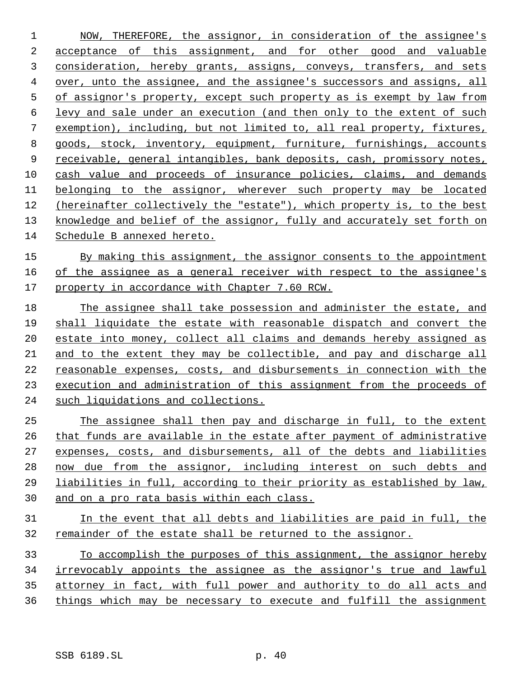NOW, THEREFORE, the assignor, in consideration of the assignee's acceptance of this assignment, and for other good and valuable consideration, hereby grants, assigns, conveys, transfers, and sets over, unto the assignee, and the assignee's successors and assigns, all of assignor's property, except such property as is exempt by law from levy and sale under an execution (and then only to the extent of such exemption), including, but not limited to, all real property, fixtures, goods, stock, inventory, equipment, furniture, furnishings, accounts receivable, general intangibles, bank deposits, cash, promissory notes, cash value and proceeds of insurance policies, claims, and demands 11 belonging to the assignor, wherever such property may be located (hereinafter collectively the "estate"), which property is, to the best knowledge and belief of the assignor, fully and accurately set forth on Schedule B annexed hereto.

 By making this assignment, the assignor consents to the appointment of the assignee as a general receiver with respect to the assignee's property in accordance with Chapter 7.60 RCW.

 The assignee shall take possession and administer the estate, and shall liquidate the estate with reasonable dispatch and convert the estate into money, collect all claims and demands hereby assigned as and to the extent they may be collectible, and pay and discharge all reasonable expenses, costs, and disbursements in connection with the execution and administration of this assignment from the proceeds of such liquidations and collections.

 The assignee shall then pay and discharge in full, to the extent that funds are available in the estate after payment of administrative expenses, costs, and disbursements, all of the debts and liabilities now due from the assignor, including interest on such debts and liabilities in full, according to their priority as established by law, and on a pro rata basis within each class.

 In the event that all debts and liabilities are paid in full, the remainder of the estate shall be returned to the assignor.

 To accomplish the purposes of this assignment, the assignor hereby irrevocably appoints the assignee as the assignor's true and lawful attorney in fact, with full power and authority to do all acts and things which may be necessary to execute and fulfill the assignment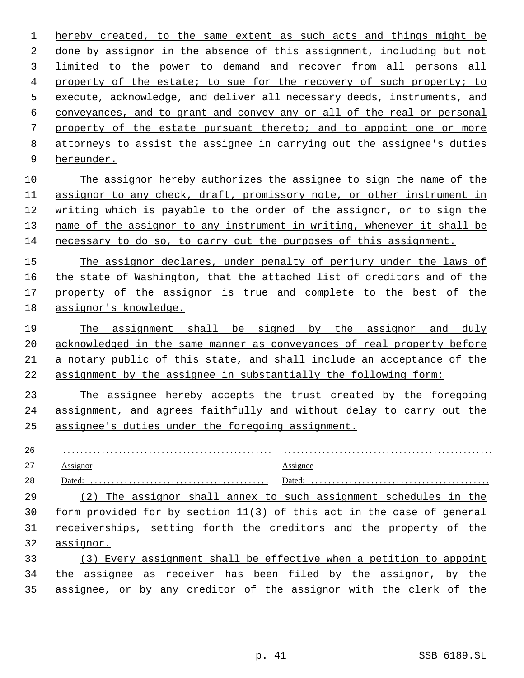hereby created, to the same extent as such acts and things might be done by assignor in the absence of this assignment, including but not limited to the power to demand and recover from all persons all property of the estate; to sue for the recovery of such property; to execute, acknowledge, and deliver all necessary deeds, instruments, and conveyances, and to grant and convey any or all of the real or personal property of the estate pursuant thereto; and to appoint one or more attorneys to assist the assignee in carrying out the assignee's duties hereunder. The assignor hereby authorizes the assignee to sign the name of the assignor to any check, draft, promissory note, or other instrument in writing which is payable to the order of the assignor, or to sign the name of the assignor to any instrument in writing, whenever it shall be necessary to do so, to carry out the purposes of this assignment. The assignor declares, under penalty of perjury under the laws of the state of Washington, that the attached list of creditors and of the property of the assignor is true and complete to the best of the assignor's knowledge. 19 The assignment shall be signed by the assignor and duly acknowledged in the same manner as conveyances of real property before a notary public of this state, and shall include an acceptance of the 22 assignment by the assignee in substantially the following form: The assignee hereby accepts the trust created by the foregoing assignment, and agrees faithfully and without delay to carry out the assignee's duties under the foregoing assignment. . . . . . . . . . . . . . . . . . . . . . . . . . . . . . . . . . . . . . . . . . . . . . . . . . Assignor . . . . . . . . . . . . . . . . . . . . . . . . . . . . . . . . . . . . . . . . . . . . . . . . . Assignee Dated: . . . . . . . . . . . . . . . . . . . . . . . . . . . . . . . . . . . . . . . . . . Dated: . . . . . . . . . . . . . . . . . . . . . . . . . . . . . . . . . . . . . . . . . . (2) The assignor shall annex to such assignment schedules in the form provided for by section 11(3) of this act in the case of general receiverships, setting forth the creditors and the property of the assignor.

 (3) Every assignment shall be effective when a petition to appoint the assignee as receiver has been filed by the assignor, by the assignee, or by any creditor of the assignor with the clerk of the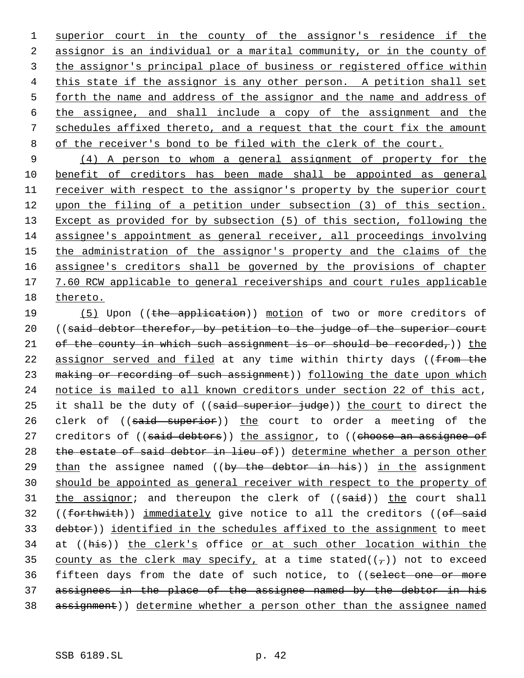superior court in the county of the assignor's residence if the assignor is an individual or a marital community, or in the county of the assignor's principal place of business or registered office within this state if the assignor is any other person. A petition shall set forth the name and address of the assignor and the name and address of the assignee, and shall include a copy of the assignment and the schedules affixed thereto, and a request that the court fix the amount 8 of the receiver's bond to be filed with the clerk of the court.

 9 (4) A person to whom a general assignment of property for the 10 benefit of creditors has been made shall be appointed as general 11 receiver with respect to the assignor's property by the superior court 12 upon the filing of a petition under subsection (3) of this section. 13 Except as provided for by subsection (5) of this section, following the 14 assignee's appointment as general receiver, all proceedings involving 15 the administration of the assignor's property and the claims of the 16 assignee's creditors shall be governed by the provisions of chapter 17 7.60 RCW applicable to general receiverships and court rules applicable 18 thereto.

19 (5) Upon ((the application)) motion of two or more creditors of 20 ((said debtor therefor, by petition to the judge of the superior court 21 of the county in which such assignment is or should be recorded,)) the 22 assignor served and filed at any time within thirty days ((from the 23 making or recording of such assignment)) following the date upon which 24 notice is mailed to all known creditors under section 22 of this act, 25 it shall be the duty of  $((\text{said superior} \text{ iude}))$  the court to direct the 26 clerk of ((said superior)) the court to order a meeting of the 27 creditors of ((said debtors)) the assignor, to ((choose an assignee of 28 the estate of said debtor in lieu of)) determine whether a person other 29 than the assignee named ((by the debtor in his)) in the assignment 30 should be appointed as general receiver with respect to the property of 31 the assignor; and thereupon the clerk of ((said)) the court shall 32 ((forthwith)) immediately give notice to all the creditors (( $of$  said 33 debtor)) identified in the schedules affixed to the assignment to meet 34 at ((his)) the clerk's office or at such other location within the 35 county as the clerk may specify, at a time stated( $(\tau)$ ) not to exceed 36 fifteen days from the date of such notice, to ((select one or more 37 assignees in the place of the assignee named by the debtor in his 38 assignment)) determine whether a person other than the assignee named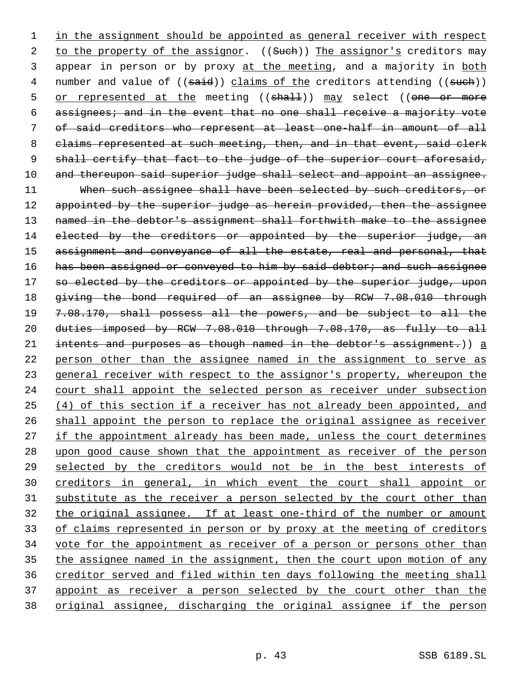1 in the assignment should be appointed as general receiver with respect 2 to the property of the assignor. ((Such)) The assignor's creditors may 3 appear in person or by proxy at the meeting, and a majority in both 4 number and value of ((said)) claims of the creditors attending ((such)) 5 or represented at the meeting ((shall)) may select ((one or more 6 assignees; and in the event that no one shall receive a majority vote 7 of said creditors who represent at least one-half in amount of all 8 claims represented at such meeting, then, and in that event, said clerk 9 shall certify that fact to the judge of the superior court aforesaid, 10 and thereupon said superior judge shall select and appoint an assignee. 11 When such assignee shall have been selected by such creditors, or 12 appointed by the superior judge as herein provided, then the assignee 13 named in the debtor's assignment shall forthwith make to the assignee 14 elected by the creditors or appointed by the superior judge, an 15 assignment and conveyance of all the estate, real and personal, that 16 has been assigned or conveyed to him by said debtor; and such assignee 17 so elected by the creditors or appointed by the superior judge, upon 18 giving the bond required of an assignee by RCW 7.08.010 through 19 7.08.170, shall possess all the powers, and be subject to all the 20 duties imposed by RCW 7.08.010 through 7.08.170, as fully to all 21 intents and purposes as though named in the debtor's assignment.)) a 22 person other than the assignee named in the assignment to serve as 23 general receiver with respect to the assignor's property, whereupon the 24 court shall appoint the selected person as receiver under subsection 25 (4) of this section if a receiver has not already been appointed, and 26 shall appoint the person to replace the original assignee as receiver 27 if the appointment already has been made, unless the court determines 28 upon good cause shown that the appointment as receiver of the person 29 selected by the creditors would not be in the best interests of 30 creditors in general, in which event the court shall appoint or 31 substitute as the receiver a person selected by the court other than 32 the original assignee. If at least one-third of the number or amount 33 of claims represented in person or by proxy at the meeting of creditors 34 vote for the appointment as receiver of a person or persons other than 35 the assignee named in the assignment, then the court upon motion of any 36 creditor served and filed within ten days following the meeting shall 37 appoint as receiver a person selected by the court other than the 38 original assignee, discharging the original assignee if the person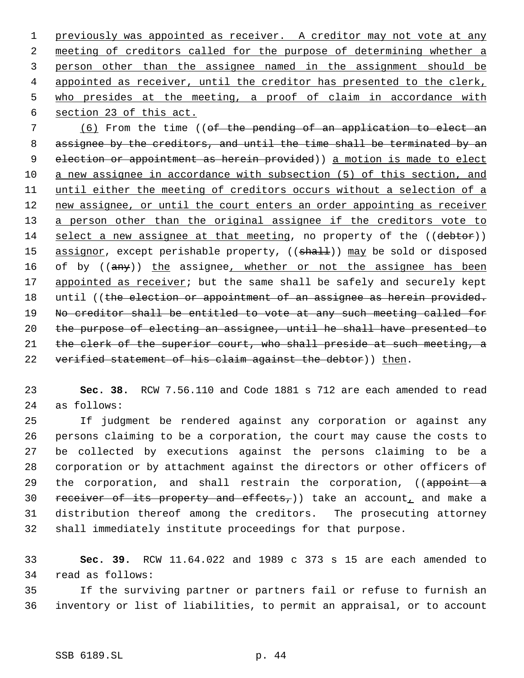1 previously was appointed as receiver. A creditor may not vote at any meeting of creditors called for the purpose of determining whether a person other than the assignee named in the assignment should be 4 appointed as receiver, until the creditor has presented to the clerk, who presides at the meeting, a proof of claim in accordance with section 23 of this act.

 7 (6) From the time ((of the pending of an application to elect an 8 assignee by the creditors, and until the time shall be terminated by an 9 election or appointment as herein provided)) a motion is made to elect 10 a new assignee in accordance with subsection (5) of this section, and 11 until either the meeting of creditors occurs without a selection of a 12 new assignee, or until the court enters an order appointing as receiver 13 a person other than the original assignee if the creditors vote to 14 select a new assignee at that meeting, no property of the ((debtor)) 15 assignor, except perishable property, ((shall)) may be sold or disposed 16 of by ((any)) the assignee, whether or not the assignee has been 17 appointed as receiver; but the same shall be safely and securely kept 18 until ((the election or appointment of an assignee as herein provided. 19 No creditor shall be entitled to vote at any such meeting called for 20 the purpose of electing an assignee, until he shall have presented to 21 the clerk of the superior court, who shall preside at such meeting, a 22 verified statement of his claim against the debtor)) then.

23 **Sec. 38.** RCW 7.56.110 and Code 1881 s 712 are each amended to read 24 as follows:

 If judgment be rendered against any corporation or against any persons claiming to be a corporation, the court may cause the costs to be collected by executions against the persons claiming to be a corporation or by attachment against the directors or other officers of 29 the corporation, and shall restrain the corporation, ((appoint a 30 receiver of its property and effects,)) take an account, and make a distribution thereof among the creditors. The prosecuting attorney shall immediately institute proceedings for that purpose.

33 **Sec. 39.** RCW 11.64.022 and 1989 c 373 s 15 are each amended to 34 read as follows:

35 If the surviving partner or partners fail or refuse to furnish an 36 inventory or list of liabilities, to permit an appraisal, or to account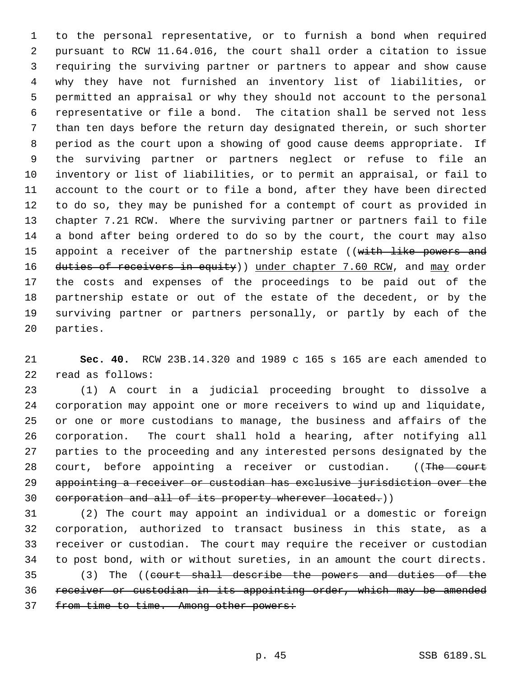to the personal representative, or to furnish a bond when required pursuant to RCW 11.64.016, the court shall order a citation to issue requiring the surviving partner or partners to appear and show cause why they have not furnished an inventory list of liabilities, or permitted an appraisal or why they should not account to the personal representative or file a bond. The citation shall be served not less than ten days before the return day designated therein, or such shorter period as the court upon a showing of good cause deems appropriate. If the surviving partner or partners neglect or refuse to file an inventory or list of liabilities, or to permit an appraisal, or fail to account to the court or to file a bond, after they have been directed to do so, they may be punished for a contempt of court as provided in chapter 7.21 RCW. Where the surviving partner or partners fail to file a bond after being ordered to do so by the court, the court may also 15 appoint a receiver of the partnership estate ((with like powers and 16 duties of receivers in equity)) under chapter 7.60 RCW, and may order the costs and expenses of the proceedings to be paid out of the partnership estate or out of the estate of the decedent, or by the surviving partner or partners personally, or partly by each of the parties.

 **Sec. 40.** RCW 23B.14.320 and 1989 c 165 s 165 are each amended to read as follows:

 (1) A court in a judicial proceeding brought to dissolve a corporation may appoint one or more receivers to wind up and liquidate, or one or more custodians to manage, the business and affairs of the corporation. The court shall hold a hearing, after notifying all parties to the proceeding and any interested persons designated by the 28 court, before appointing a receiver or custodian. ((The court appointing a receiver or custodian has exclusive jurisdiction over the 30 corporation and all of its property wherever located.))

 (2) The court may appoint an individual or a domestic or foreign corporation, authorized to transact business in this state, as a receiver or custodian. The court may require the receiver or custodian to post bond, with or without sureties, in an amount the court directs.

 (3) The ((court shall describe the powers and duties of the receiver or custodian in its appointing order, which may be amended 37 from time to time. Among other powers: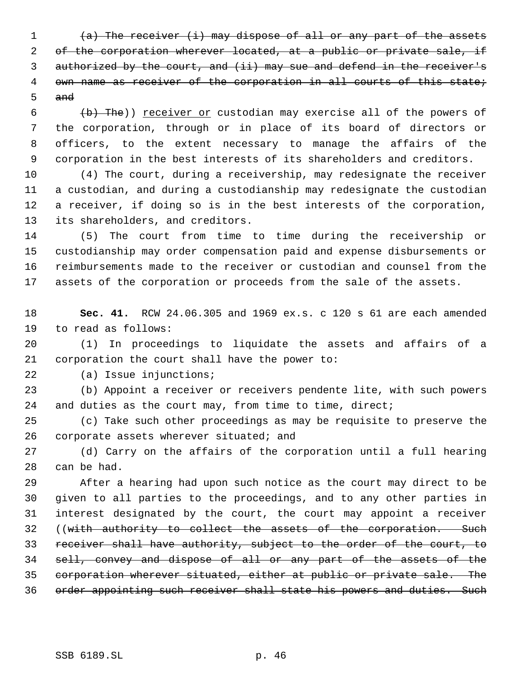$(a)$  The receiver (i) may dispose of all or any part of the assets 2 of the corporation wherever located, at a public or private sale, if authorized by the court, and (ii) may sue and defend in the receiver's 4 own name as receiver of the corporation in all courts of this state; and

 (b) The)) receiver or custodian may exercise all of the powers of the corporation, through or in place of its board of directors or officers, to the extent necessary to manage the affairs of the corporation in the best interests of its shareholders and creditors.

 (4) The court, during a receivership, may redesignate the receiver a custodian, and during a custodianship may redesignate the custodian a receiver, if doing so is in the best interests of the corporation, its shareholders, and creditors.

 (5) The court from time to time during the receivership or custodianship may order compensation paid and expense disbursements or reimbursements made to the receiver or custodian and counsel from the assets of the corporation or proceeds from the sale of the assets.

 **Sec. 41.** RCW 24.06.305 and 1969 ex.s. c 120 s 61 are each amended to read as follows:

 (1) In proceedings to liquidate the assets and affairs of a corporation the court shall have the power to:

(a) Issue injunctions;

 (b) Appoint a receiver or receivers pendente lite, with such powers and duties as the court may, from time to time, direct;

 (c) Take such other proceedings as may be requisite to preserve the corporate assets wherever situated; and

 (d) Carry on the affairs of the corporation until a full hearing can be had.

 After a hearing had upon such notice as the court may direct to be given to all parties to the proceedings, and to any other parties in interest designated by the court, the court may appoint a receiver 32 ((with authority to collect the assets of the corporation. Such receiver shall have authority, subject to the order of the court, to sell, convey and dispose of all or any part of the assets of the corporation wherever situated, either at public or private sale. The order appointing such receiver shall state his powers and duties. Such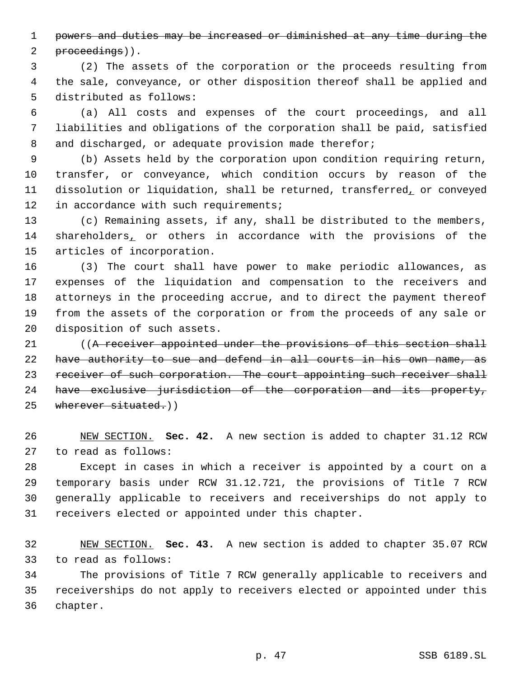powers and duties may be increased or diminished at any time during the

2 proceedings)).

 (2) The assets of the corporation or the proceeds resulting from the sale, conveyance, or other disposition thereof shall be applied and distributed as follows:

 (a) All costs and expenses of the court proceedings, and all liabilities and obligations of the corporation shall be paid, satisfied 8 and discharged, or adequate provision made therefor;

 (b) Assets held by the corporation upon condition requiring return, transfer, or conveyance, which condition occurs by reason of the dissolution or liquidation, shall be returned, transferred, or conveyed 12 in accordance with such requirements;

 (c) Remaining assets, if any, shall be distributed to the members, 14 shareholders, or others in accordance with the provisions of the articles of incorporation.

 (3) The court shall have power to make periodic allowances, as expenses of the liquidation and compensation to the receivers and attorneys in the proceeding accrue, and to direct the payment thereof from the assets of the corporation or from the proceeds of any sale or disposition of such assets.

21 ((A receiver appointed under the provisions of this section shall have authority to sue and defend in all courts in his own name, as 23 receiver of such corporation. The court appointing such receiver shall have exclusive jurisdiction of the corporation and its property, 25 wherever situated.))

 NEW SECTION. **Sec. 42.** A new section is added to chapter 31.12 RCW to read as follows:

 Except in cases in which a receiver is appointed by a court on a temporary basis under RCW 31.12.721, the provisions of Title 7 RCW generally applicable to receivers and receiverships do not apply to receivers elected or appointed under this chapter.

 NEW SECTION. **Sec. 43.** A new section is added to chapter 35.07 RCW to read as follows:

 The provisions of Title 7 RCW generally applicable to receivers and receiverships do not apply to receivers elected or appointed under this chapter.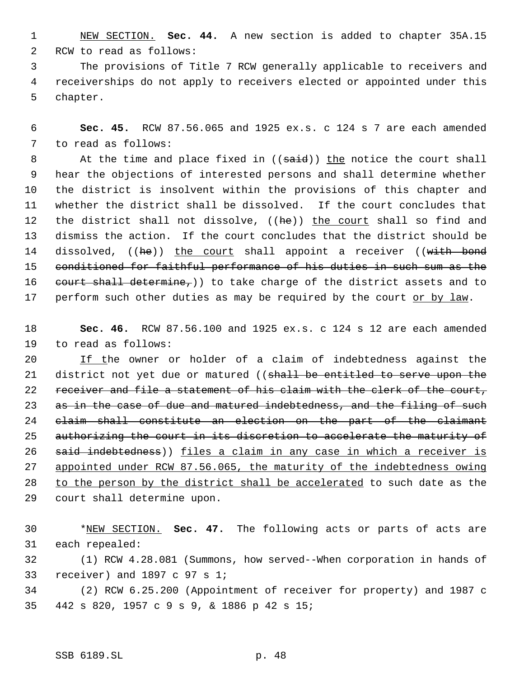NEW SECTION. **Sec. 44.** A new section is added to chapter 35A.15 RCW to read as follows:

 The provisions of Title 7 RCW generally applicable to receivers and receiverships do not apply to receivers elected or appointed under this chapter.

 **Sec. 45.** RCW 87.56.065 and 1925 ex.s. c 124 s 7 are each amended to read as follows:

8 At the time and place fixed in ((said)) the notice the court shall hear the objections of interested persons and shall determine whether the district is insolvent within the provisions of this chapter and whether the district shall be dissolved. If the court concludes that 12 the district shall not dissolve, ((he)) the court shall so find and dismiss the action. If the court concludes that the district should be 14 dissolved, ((he)) the court shall appoint a receiver ((with bond 15 conditioned for faithful performance of his duties in such sum as the 16 court shall determine,)) to take charge of the district assets and to 17 perform such other duties as may be required by the court or by law.

 **Sec. 46.** RCW 87.56.100 and 1925 ex.s. c 124 s 12 are each amended to read as follows:

20 If the owner or holder of a claim of indebtedness against the 21 district not yet due or matured ((shall be entitled to serve upon the 22 receiver and file a statement of his claim with the clerk of the court, 23 as in the case of due and matured indebtedness, and the filing of such claim shall constitute an election on the part of the claimant 25 authorizing the court in its discretion to accelerate the maturity of 26 said indebtedness)) files a claim in any case in which a receiver is appointed under RCW 87.56.065, the maturity of the indebtedness owing 28 to the person by the district shall be accelerated to such date as the court shall determine upon.

 \*NEW SECTION. **Sec. 47.** The following acts or parts of acts are each repealed:

 (1) RCW 4.28.081 (Summons, how served--When corporation in hands of receiver) and 1897 c 97 s 1;

 (2) RCW 6.25.200 (Appointment of receiver for property) and 1987 c 442 s 820, 1957 c 9 s 9, & 1886 p 42 s 15;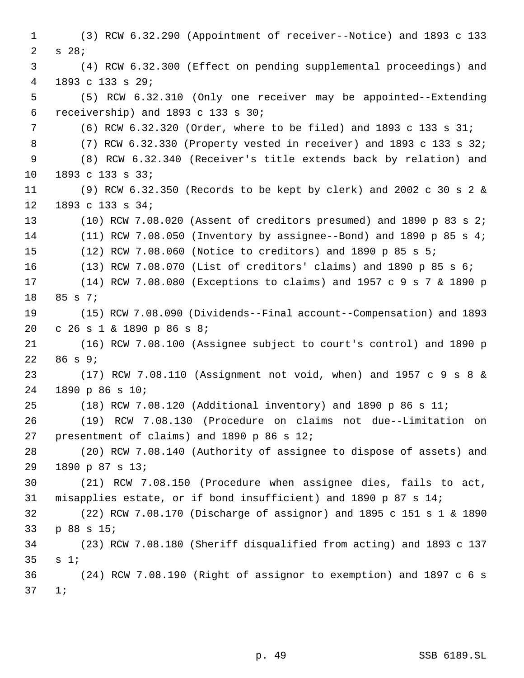(3) RCW 6.32.290 (Appointment of receiver--Notice) and 1893 c 133 s 28; (4) RCW 6.32.300 (Effect on pending supplemental proceedings) and 1893 c 133 s 29; (5) RCW 6.32.310 (Only one receiver may be appointed--Extending receivership) and 1893 c 133 s 30; (6) RCW 6.32.320 (Order, where to be filed) and 1893 c 133 s 31; (7) RCW 6.32.330 (Property vested in receiver) and 1893 c 133 s 32; (8) RCW 6.32.340 (Receiver's title extends back by relation) and 1893 c 133 s 33; (9) RCW 6.32.350 (Records to be kept by clerk) and 2002 c 30 s 2 & 1893 c 133 s 34; (10) RCW 7.08.020 (Assent of creditors presumed) and 1890 p 83 s 2; (11) RCW 7.08.050 (Inventory by assignee--Bond) and 1890 p 85 s 4; (12) RCW 7.08.060 (Notice to creditors) and 1890 p 85 s 5; (13) RCW 7.08.070 (List of creditors' claims) and 1890 p 85 s 6; (14) RCW 7.08.080 (Exceptions to claims) and 1957 c 9 s 7 & 1890 p 85 s 7; (15) RCW 7.08.090 (Dividends--Final account--Compensation) and 1893 c 26 s 1 & 1890 p 86 s 8; (16) RCW 7.08.100 (Assignee subject to court's control) and 1890 p 86 s 9; (17) RCW 7.08.110 (Assignment not void, when) and 1957 c 9 s 8 & 1890 p 86 s 10; (18) RCW 7.08.120 (Additional inventory) and 1890 p 86 s 11; (19) RCW 7.08.130 (Procedure on claims not due--Limitation on presentment of claims) and 1890 p 86 s 12; (20) RCW 7.08.140 (Authority of assignee to dispose of assets) and 1890 p 87 s 13; (21) RCW 7.08.150 (Procedure when assignee dies, fails to act, misapplies estate, or if bond insufficient) and 1890 p 87 s 14; (22) RCW 7.08.170 (Discharge of assignor) and 1895 c 151 s 1 & 1890 p 88 s 15; (23) RCW 7.08.180 (Sheriff disqualified from acting) and 1893 c 137 s 1; (24) RCW 7.08.190 (Right of assignor to exemption) and 1897 c 6 s 1;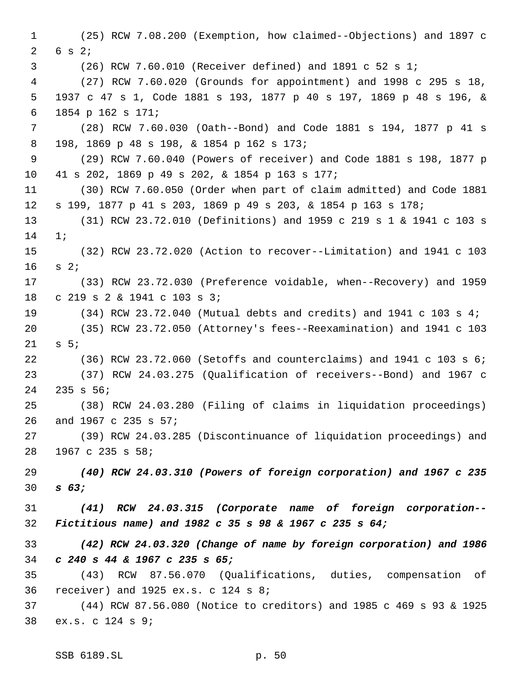(25) RCW 7.08.200 (Exemption, how claimed--Objections) and 1897 c 6 s 2; (26) RCW 7.60.010 (Receiver defined) and 1891 c 52 s 1; (27) RCW 7.60.020 (Grounds for appointment) and 1998 c 295 s 18, 1937 c 47 s 1, Code 1881 s 193, 1877 p 40 s 197, 1869 p 48 s 196, & 1854 p 162 s 171; (28) RCW 7.60.030 (Oath--Bond) and Code 1881 s 194, 1877 p 41 s 198, 1869 p 48 s 198, & 1854 p 162 s 173; (29) RCW 7.60.040 (Powers of receiver) and Code 1881 s 198, 1877 p 41 s 202, 1869 p 49 s 202, & 1854 p 163 s 177; (30) RCW 7.60.050 (Order when part of claim admitted) and Code 1881 s 199, 1877 p 41 s 203, 1869 p 49 s 203, & 1854 p 163 s 178; (31) RCW 23.72.010 (Definitions) and 1959 c 219 s 1 & 1941 c 103 s 1; (32) RCW 23.72.020 (Action to recover--Limitation) and 1941 c 103 s 2; (33) RCW 23.72.030 (Preference voidable, when--Recovery) and 1959 c 219 s 2 & 1941 c 103 s 3; (34) RCW 23.72.040 (Mutual debts and credits) and 1941 c 103 s 4; (35) RCW 23.72.050 (Attorney's fees--Reexamination) and 1941 c 103 s 5; (36) RCW 23.72.060 (Setoffs and counterclaims) and 1941 c 103 s 6; (37) RCW 24.03.275 (Qualification of receivers--Bond) and 1967 c 235 s 56; (38) RCW 24.03.280 (Filing of claims in liquidation proceedings) and 1967 c 235 s 57; (39) RCW 24.03.285 (Discontinuance of liquidation proceedings) and 1967 c 235 s 58; *(40) RCW 24.03.310 (Powers of foreign corporation) and 1967 c 235 s 63; (41) RCW 24.03.315 (Corporate name of foreign corporation-- Fictitious name) and 1982 c 35 s 98 & 1967 c 235 s 64; (42) RCW 24.03.320 (Change of name by foreign corporation) and 1986 c 240 s 44 & 1967 c 235 s 65;* (43) RCW 87.56.070 (Qualifications, duties, compensation of receiver) and 1925 ex.s. c 124 s 8; (44) RCW 87.56.080 (Notice to creditors) and 1985 c 469 s 93 & 1925 ex.s. c 124 s 9;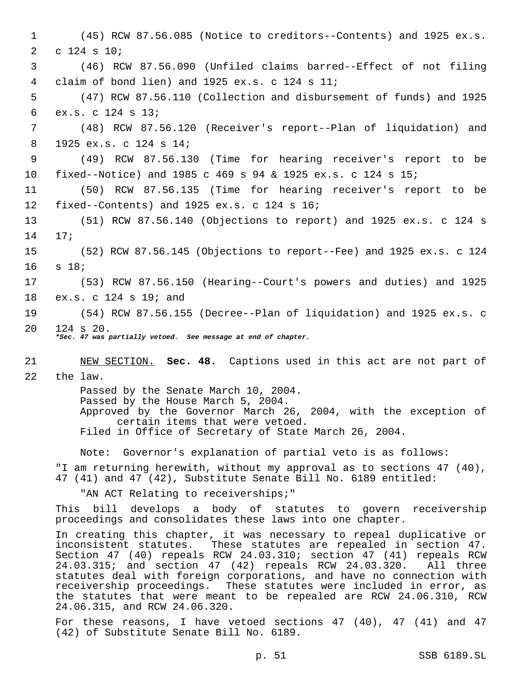1 (45) RCW 87.56.085 (Notice to creditors--Contents) and 1925 ex.s. 2 c 124 s 10; 3 (46) RCW 87.56.090 (Unfiled claims barred--Effect of not filing 4 claim of bond lien) and 1925 ex.s. c 124 s 11; 5 (47) RCW 87.56.110 (Collection and disbursement of funds) and 1925 6 ex.s. c 124 s 13; 7 (48) RCW 87.56.120 (Receiver's report--Plan of liquidation) and 8 1925 ex.s. c 124 s 14; 9 (49) RCW 87.56.130 (Time for hearing receiver's report to be 10 fixed--Notice) and 1985 c 469 s 94 & 1925 ex.s. c 124 s 15; 11 (50) RCW 87.56.135 (Time for hearing receiver's report to be 12 fixed--Contents) and 1925 ex.s. c 124 s 16; 13 (51) RCW 87.56.140 (Objections to report) and 1925 ex.s. c 124 s 14 17; 15 (52) RCW 87.56.145 (Objections to report--Fee) and 1925 ex.s. c 124 16 s 18; 17 (53) RCW 87.56.150 (Hearing--Court's powers and duties) and 1925 18 ex.s. c 124 s 19; and 19 (54) RCW 87.56.155 (Decree--Plan of liquidation) and 1925 ex.s. c 20 124 s 20. *\*Sec. 47 was partially vetoed. See message at end of chapter.* 21 NEW SECTION. **Sec. 48.** Captions used in this act are not part of 22 the law. Passed by the Senate March 10, 2004. Passed by the House March 5, 2004. Approved by the Governor March 26, 2004, with the exception of certain items that were vetoed. Filed in Office of Secretary of State March 26, 2004. Note: Governor's explanation of partial veto is as follows: "I am returning herewith, without my approval as to sections 47 (40), 47 (41) and 47 (42), Substitute Senate Bill No. 6189 entitled: "AN ACT Relating to receiverships;" This bill develops a body of statutes to govern receivership proceedings and consolidates these laws into one chapter. In creating this chapter, it was necessary to repeal duplicative or inconsistent statutes. These statutes are repealed in section 47. Section 47 (40) repeals RCW 24.03.310; section 47 (41) repeals RCW 24.03.315; and section 47 (42) repeals RCW 24.03.320. All three 24.03.315; and section 47 (42) repeals RCW 24.03.320. statutes deal with foreign corporations, and have no connection with receivership proceedings. These statutes were included in error, as the statutes that were meant to be repealed are RCW 24.06.310, RCW 24.06.315, and RCW 24.06.320. For these reasons, I have vetoed sections 47 (40), 47 (41) and 47 (42) of Substitute Senate Bill No. 6189.